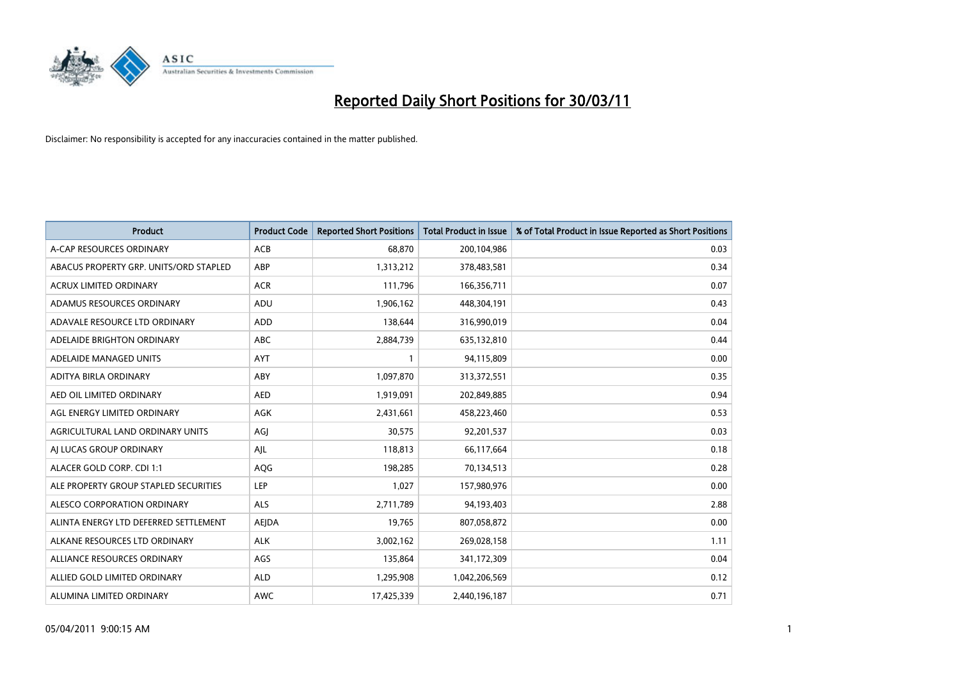

| Product                                | <b>Product Code</b> | <b>Reported Short Positions</b> | Total Product in Issue | % of Total Product in Issue Reported as Short Positions |
|----------------------------------------|---------------------|---------------------------------|------------------------|---------------------------------------------------------|
| A-CAP RESOURCES ORDINARY               | ACB                 | 68,870                          | 200,104,986            | 0.03                                                    |
| ABACUS PROPERTY GRP. UNITS/ORD STAPLED | ABP                 | 1,313,212                       | 378,483,581            | 0.34                                                    |
| <b>ACRUX LIMITED ORDINARY</b>          | <b>ACR</b>          | 111,796                         | 166,356,711            | 0.07                                                    |
| ADAMUS RESOURCES ORDINARY              | ADU                 | 1,906,162                       | 448,304,191            | 0.43                                                    |
| ADAVALE RESOURCE LTD ORDINARY          | <b>ADD</b>          | 138.644                         | 316,990,019            | 0.04                                                    |
| ADELAIDE BRIGHTON ORDINARY             | <b>ABC</b>          | 2,884,739                       | 635,132,810            | 0.44                                                    |
| ADELAIDE MANAGED UNITS                 | <b>AYT</b>          |                                 | 94,115,809             | 0.00                                                    |
| ADITYA BIRLA ORDINARY                  | ABY                 | 1,097,870                       | 313,372,551            | 0.35                                                    |
| AED OIL LIMITED ORDINARY               | <b>AED</b>          | 1,919,091                       | 202,849,885            | 0.94                                                    |
| AGL ENERGY LIMITED ORDINARY            | <b>AGK</b>          | 2,431,661                       | 458,223,460            | 0.53                                                    |
| AGRICULTURAL LAND ORDINARY UNITS       | AGJ                 | 30,575                          | 92,201,537             | 0.03                                                    |
| AI LUCAS GROUP ORDINARY                | AJL                 | 118,813                         | 66,117,664             | 0.18                                                    |
| ALACER GOLD CORP. CDI 1:1              | AQG                 | 198,285                         | 70,134,513             | 0.28                                                    |
| ALE PROPERTY GROUP STAPLED SECURITIES  | LEP                 | 1,027                           | 157,980,976            | 0.00                                                    |
| ALESCO CORPORATION ORDINARY            | <b>ALS</b>          | 2,711,789                       | 94,193,403             | 2.88                                                    |
| ALINTA ENERGY LTD DEFERRED SETTLEMENT  | AEJDA               | 19,765                          | 807,058,872            | 0.00                                                    |
| ALKANE RESOURCES LTD ORDINARY          | <b>ALK</b>          | 3,002,162                       | 269,028,158            | 1.11                                                    |
| ALLIANCE RESOURCES ORDINARY            | AGS                 | 135,864                         | 341,172,309            | 0.04                                                    |
| ALLIED GOLD LIMITED ORDINARY           | <b>ALD</b>          | 1,295,908                       | 1,042,206,569          | 0.12                                                    |
| ALUMINA LIMITED ORDINARY               | <b>AWC</b>          | 17.425.339                      | 2,440,196,187          | 0.71                                                    |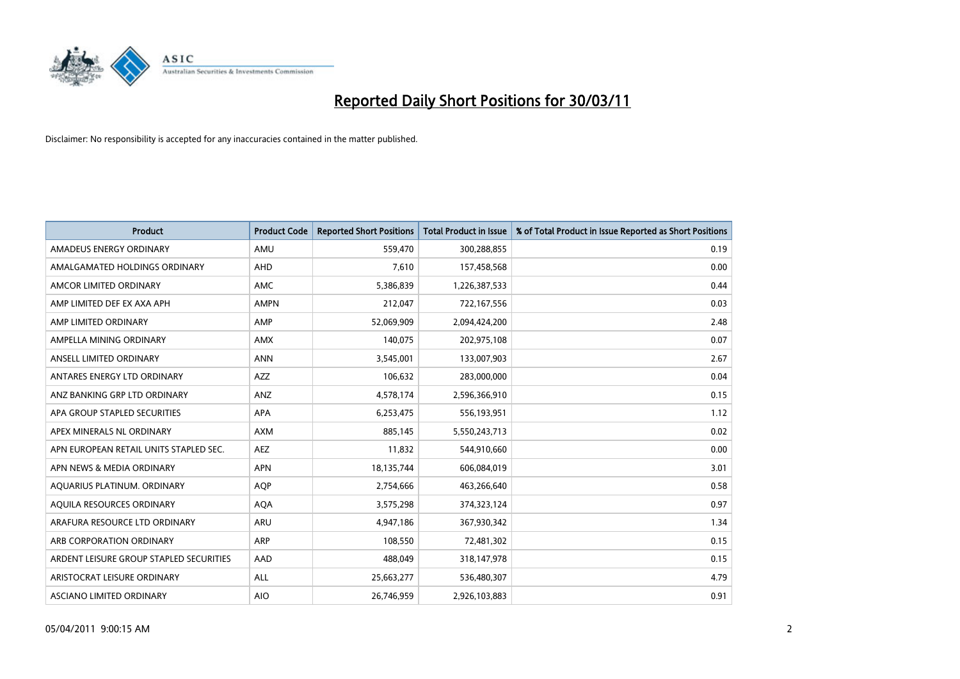

| <b>Product</b>                          | <b>Product Code</b> | <b>Reported Short Positions</b> | <b>Total Product in Issue</b> | % of Total Product in Issue Reported as Short Positions |
|-----------------------------------------|---------------------|---------------------------------|-------------------------------|---------------------------------------------------------|
| AMADEUS ENERGY ORDINARY                 | AMU                 | 559,470                         | 300,288,855                   | 0.19                                                    |
| AMALGAMATED HOLDINGS ORDINARY           | AHD                 | 7,610                           | 157,458,568                   | 0.00                                                    |
| AMCOR LIMITED ORDINARY                  | <b>AMC</b>          | 5,386,839                       | 1,226,387,533                 | 0.44                                                    |
| AMP LIMITED DEF EX AXA APH              | <b>AMPN</b>         | 212,047                         | 722,167,556                   | 0.03                                                    |
| AMP LIMITED ORDINARY                    | AMP                 | 52,069,909                      | 2,094,424,200                 | 2.48                                                    |
| AMPELLA MINING ORDINARY                 | <b>AMX</b>          | 140,075                         | 202,975,108                   | 0.07                                                    |
| ANSELL LIMITED ORDINARY                 | <b>ANN</b>          | 3,545,001                       | 133,007,903                   | 2.67                                                    |
| ANTARES ENERGY LTD ORDINARY             | <b>AZZ</b>          | 106,632                         | 283,000,000                   | 0.04                                                    |
| ANZ BANKING GRP LTD ORDINARY            | ANZ                 | 4,578,174                       | 2,596,366,910                 | 0.15                                                    |
| APA GROUP STAPLED SECURITIES            | <b>APA</b>          | 6,253,475                       | 556,193,951                   | 1.12                                                    |
| APEX MINERALS NL ORDINARY               | <b>AXM</b>          | 885,145                         | 5,550,243,713                 | 0.02                                                    |
| APN EUROPEAN RETAIL UNITS STAPLED SEC.  | <b>AEZ</b>          | 11,832                          | 544,910,660                   | 0.00                                                    |
| APN NEWS & MEDIA ORDINARY               | <b>APN</b>          | 18,135,744                      | 606,084,019                   | 3.01                                                    |
| AQUARIUS PLATINUM. ORDINARY             | <b>AOP</b>          | 2,754,666                       | 463,266,640                   | 0.58                                                    |
| AQUILA RESOURCES ORDINARY               | <b>AQA</b>          | 3,575,298                       | 374,323,124                   | 0.97                                                    |
| ARAFURA RESOURCE LTD ORDINARY           | ARU                 | 4,947,186                       | 367,930,342                   | 1.34                                                    |
| ARB CORPORATION ORDINARY                | ARP                 | 108,550                         | 72,481,302                    | 0.15                                                    |
| ARDENT LEISURE GROUP STAPLED SECURITIES | AAD                 | 488,049                         | 318,147,978                   | 0.15                                                    |
| ARISTOCRAT LEISURE ORDINARY             | ALL                 | 25,663,277                      | 536,480,307                   | 4.79                                                    |
| ASCIANO LIMITED ORDINARY                | <b>AIO</b>          | 26,746,959                      | 2,926,103,883                 | 0.91                                                    |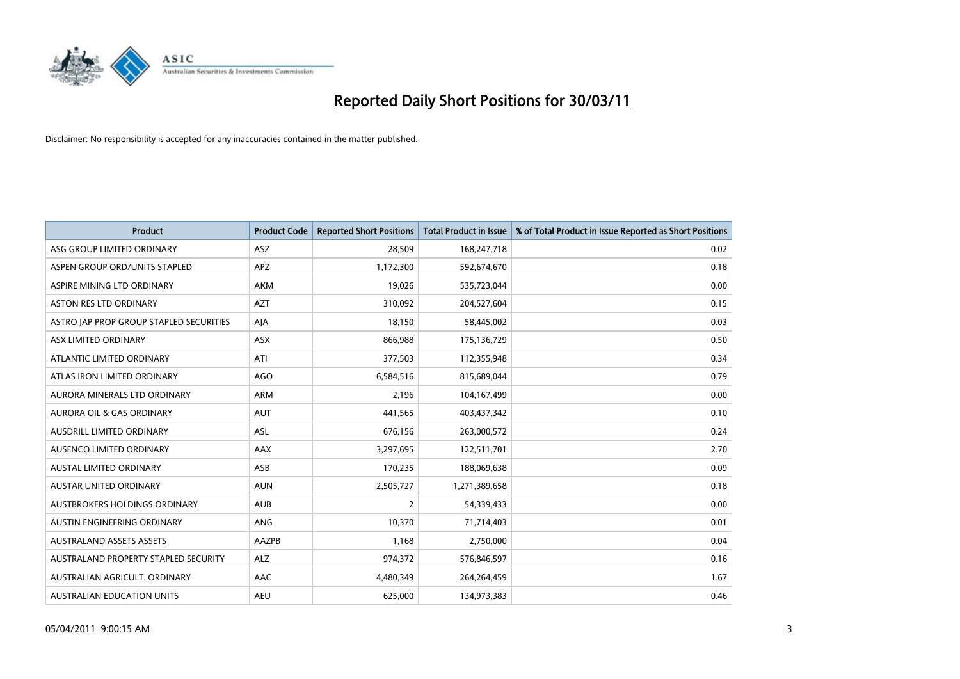

| <b>Product</b>                          | <b>Product Code</b> | <b>Reported Short Positions</b> | Total Product in Issue | % of Total Product in Issue Reported as Short Positions |
|-----------------------------------------|---------------------|---------------------------------|------------------------|---------------------------------------------------------|
| ASG GROUP LIMITED ORDINARY              | <b>ASZ</b>          | 28,509                          | 168,247,718            | 0.02                                                    |
| ASPEN GROUP ORD/UNITS STAPLED           | <b>APZ</b>          | 1,172,300                       | 592,674,670            | 0.18                                                    |
| ASPIRE MINING LTD ORDINARY              | <b>AKM</b>          | 19,026                          | 535,723,044            | 0.00                                                    |
| ASTON RES LTD ORDINARY                  | <b>AZT</b>          | 310,092                         | 204,527,604            | 0.15                                                    |
| ASTRO IAP PROP GROUP STAPLED SECURITIES | AJA                 | 18,150                          | 58,445,002             | 0.03                                                    |
| ASX LIMITED ORDINARY                    | ASX                 | 866,988                         | 175,136,729            | 0.50                                                    |
| ATLANTIC LIMITED ORDINARY               | ATI                 | 377,503                         | 112,355,948            | 0.34                                                    |
| ATLAS IRON LIMITED ORDINARY             | AGO                 | 6,584,516                       | 815,689,044            | 0.79                                                    |
| AURORA MINERALS LTD ORDINARY            | <b>ARM</b>          | 2,196                           | 104,167,499            | 0.00                                                    |
| <b>AURORA OIL &amp; GAS ORDINARY</b>    | <b>AUT</b>          | 441,565                         | 403,437,342            | 0.10                                                    |
| AUSDRILL LIMITED ORDINARY               | <b>ASL</b>          | 676,156                         | 263,000,572            | 0.24                                                    |
| AUSENCO LIMITED ORDINARY                | <b>AAX</b>          | 3,297,695                       | 122,511,701            | 2.70                                                    |
| <b>AUSTAL LIMITED ORDINARY</b>          | ASB                 | 170,235                         | 188,069,638            | 0.09                                                    |
| <b>AUSTAR UNITED ORDINARY</b>           | <b>AUN</b>          | 2,505,727                       | 1,271,389,658          | 0.18                                                    |
| AUSTBROKERS HOLDINGS ORDINARY           | <b>AUB</b>          | 2                               | 54,339,433             | 0.00                                                    |
| AUSTIN ENGINEERING ORDINARY             | <b>ANG</b>          | 10,370                          | 71,714,403             | 0.01                                                    |
| <b>AUSTRALAND ASSETS ASSETS</b>         | AAZPB               | 1,168                           | 2,750,000              | 0.04                                                    |
| AUSTRALAND PROPERTY STAPLED SECURITY    | <b>ALZ</b>          | 974,372                         | 576,846,597            | 0.16                                                    |
| AUSTRALIAN AGRICULT, ORDINARY           | AAC                 | 4,480,349                       | 264,264,459            | 1.67                                                    |
| AUSTRALIAN EDUCATION UNITS              | <b>AEU</b>          | 625.000                         | 134,973,383            | 0.46                                                    |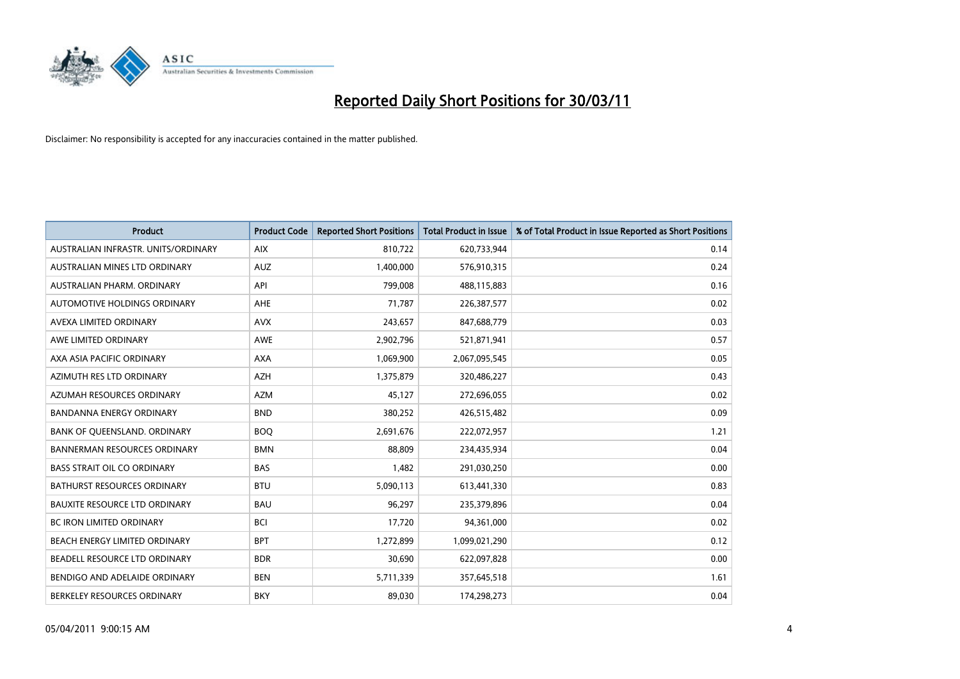

| Product                              | <b>Product Code</b> | <b>Reported Short Positions</b> | <b>Total Product in Issue</b> | % of Total Product in Issue Reported as Short Positions |
|--------------------------------------|---------------------|---------------------------------|-------------------------------|---------------------------------------------------------|
| AUSTRALIAN INFRASTR. UNITS/ORDINARY  | <b>AIX</b>          | 810,722                         | 620,733,944                   | 0.14                                                    |
| AUSTRALIAN MINES LTD ORDINARY        | <b>AUZ</b>          | 1,400,000                       | 576,910,315                   | 0.24                                                    |
| AUSTRALIAN PHARM, ORDINARY           | API                 | 799,008                         | 488,115,883                   | 0.16                                                    |
| AUTOMOTIVE HOLDINGS ORDINARY         | <b>AHE</b>          | 71,787                          | 226,387,577                   | 0.02                                                    |
| AVEXA LIMITED ORDINARY               | <b>AVX</b>          | 243,657                         | 847,688,779                   | 0.03                                                    |
| AWE LIMITED ORDINARY                 | <b>AWE</b>          | 2,902,796                       | 521,871,941                   | 0.57                                                    |
| AXA ASIA PACIFIC ORDINARY            | <b>AXA</b>          | 1,069,900                       | 2,067,095,545                 | 0.05                                                    |
| AZIMUTH RES LTD ORDINARY             | <b>AZH</b>          | 1,375,879                       | 320,486,227                   | 0.43                                                    |
| AZUMAH RESOURCES ORDINARY            | <b>AZM</b>          | 45,127                          | 272,696,055                   | 0.02                                                    |
| <b>BANDANNA ENERGY ORDINARY</b>      | <b>BND</b>          | 380,252                         | 426,515,482                   | 0.09                                                    |
| BANK OF QUEENSLAND. ORDINARY         | <b>BOQ</b>          | 2,691,676                       | 222,072,957                   | 1.21                                                    |
| <b>BANNERMAN RESOURCES ORDINARY</b>  | <b>BMN</b>          | 88.809                          | 234,435,934                   | 0.04                                                    |
| <b>BASS STRAIT OIL CO ORDINARY</b>   | <b>BAS</b>          | 1,482                           | 291,030,250                   | 0.00                                                    |
| <b>BATHURST RESOURCES ORDINARY</b>   | <b>BTU</b>          | 5,090,113                       | 613,441,330                   | 0.83                                                    |
| <b>BAUXITE RESOURCE LTD ORDINARY</b> | <b>BAU</b>          | 96,297                          | 235,379,896                   | 0.04                                                    |
| BC IRON LIMITED ORDINARY             | <b>BCI</b>          | 17,720                          | 94,361,000                    | 0.02                                                    |
| BEACH ENERGY LIMITED ORDINARY        | <b>BPT</b>          | 1,272,899                       | 1,099,021,290                 | 0.12                                                    |
| BEADELL RESOURCE LTD ORDINARY        | <b>BDR</b>          | 30,690                          | 622,097,828                   | 0.00                                                    |
| BENDIGO AND ADELAIDE ORDINARY        | <b>BEN</b>          | 5,711,339                       | 357,645,518                   | 1.61                                                    |
| BERKELEY RESOURCES ORDINARY          | <b>BKY</b>          | 89,030                          | 174,298,273                   | 0.04                                                    |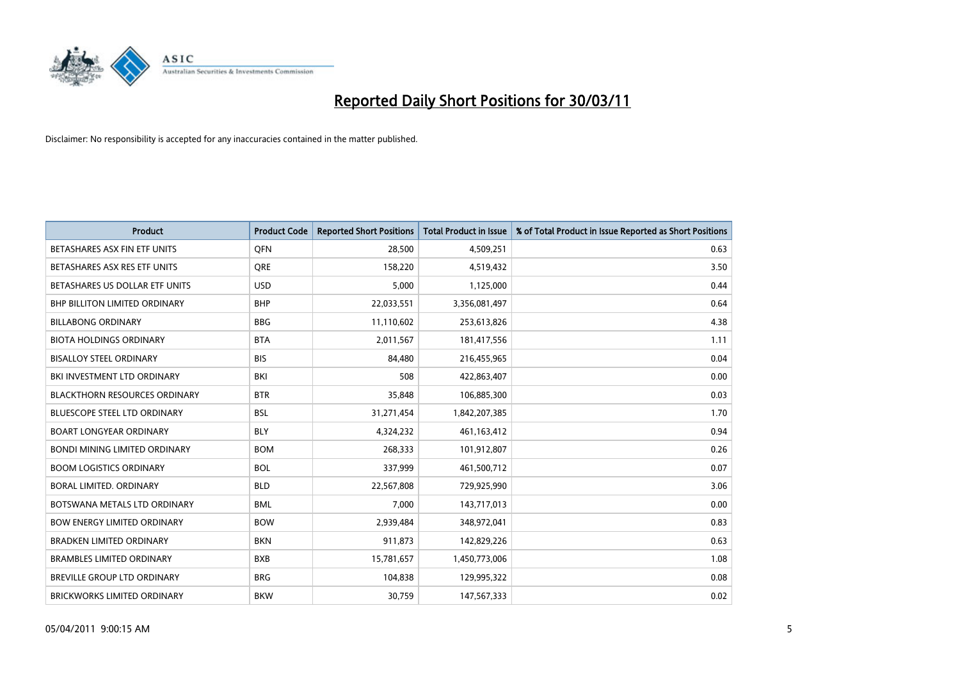

| <b>Product</b>                       | <b>Product Code</b> | <b>Reported Short Positions</b> | <b>Total Product in Issue</b> | % of Total Product in Issue Reported as Short Positions |
|--------------------------------------|---------------------|---------------------------------|-------------------------------|---------------------------------------------------------|
| BETASHARES ASX FIN ETF UNITS         | <b>OFN</b>          | 28,500                          | 4,509,251                     | 0.63                                                    |
| BETASHARES ASX RES ETF UNITS         | <b>ORE</b>          | 158,220                         | 4,519,432                     | 3.50                                                    |
| BETASHARES US DOLLAR ETF UNITS       | <b>USD</b>          | 5,000                           | 1,125,000                     | 0.44                                                    |
| BHP BILLITON LIMITED ORDINARY        | <b>BHP</b>          | 22,033,551                      | 3,356,081,497                 | 0.64                                                    |
| <b>BILLABONG ORDINARY</b>            | <b>BBG</b>          | 11,110,602                      | 253,613,826                   | 4.38                                                    |
| <b>BIOTA HOLDINGS ORDINARY</b>       | <b>BTA</b>          | 2,011,567                       | 181,417,556                   | 1.11                                                    |
| <b>BISALLOY STEEL ORDINARY</b>       | <b>BIS</b>          | 84.480                          | 216,455,965                   | 0.04                                                    |
| BKI INVESTMENT LTD ORDINARY          | <b>BKI</b>          | 508                             | 422,863,407                   | 0.00                                                    |
| <b>BLACKTHORN RESOURCES ORDINARY</b> | <b>BTR</b>          | 35,848                          | 106,885,300                   | 0.03                                                    |
| <b>BLUESCOPE STEEL LTD ORDINARY</b>  | <b>BSL</b>          | 31,271,454                      | 1,842,207,385                 | 1.70                                                    |
| <b>BOART LONGYEAR ORDINARY</b>       | <b>BLY</b>          | 4,324,232                       | 461,163,412                   | 0.94                                                    |
| <b>BONDI MINING LIMITED ORDINARY</b> | <b>BOM</b>          | 268,333                         | 101,912,807                   | 0.26                                                    |
| <b>BOOM LOGISTICS ORDINARY</b>       | <b>BOL</b>          | 337,999                         | 461,500,712                   | 0.07                                                    |
| BORAL LIMITED, ORDINARY              | <b>BLD</b>          | 22,567,808                      | 729,925,990                   | 3.06                                                    |
| BOTSWANA METALS LTD ORDINARY         | <b>BML</b>          | 7,000                           | 143,717,013                   | 0.00                                                    |
| <b>BOW ENERGY LIMITED ORDINARY</b>   | <b>BOW</b>          | 2,939,484                       | 348,972,041                   | 0.83                                                    |
| <b>BRADKEN LIMITED ORDINARY</b>      | <b>BKN</b>          | 911,873                         | 142,829,226                   | 0.63                                                    |
| <b>BRAMBLES LIMITED ORDINARY</b>     | <b>BXB</b>          | 15,781,657                      | 1,450,773,006                 | 1.08                                                    |
| <b>BREVILLE GROUP LTD ORDINARY</b>   | <b>BRG</b>          | 104,838                         | 129,995,322                   | 0.08                                                    |
| <b>BRICKWORKS LIMITED ORDINARY</b>   | <b>BKW</b>          | 30,759                          | 147,567,333                   | 0.02                                                    |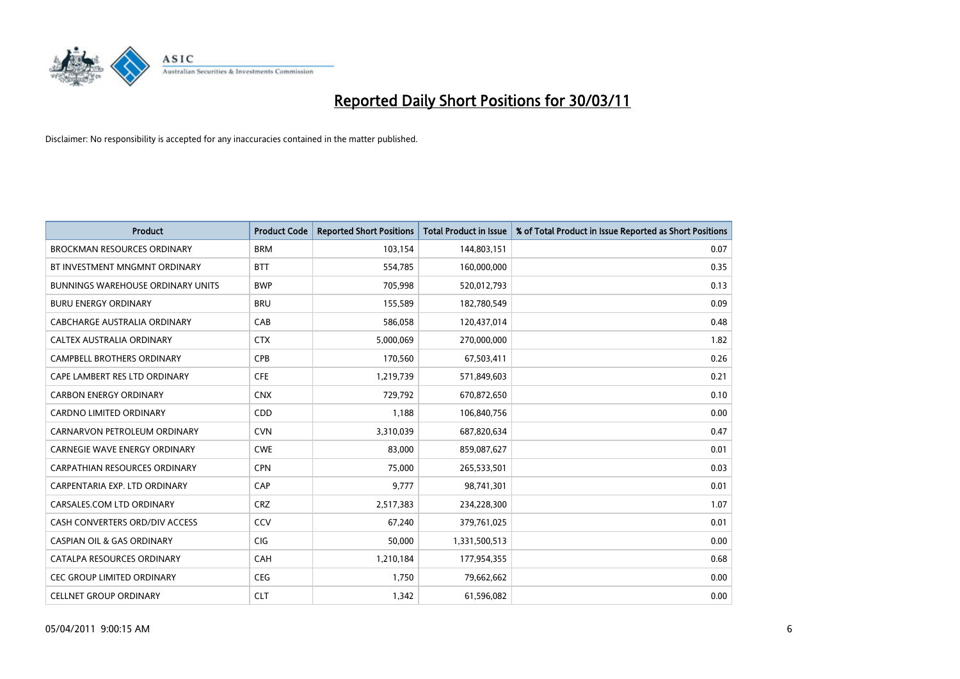

| <b>Product</b>                           | <b>Product Code</b> | <b>Reported Short Positions</b> | Total Product in Issue | % of Total Product in Issue Reported as Short Positions |
|------------------------------------------|---------------------|---------------------------------|------------------------|---------------------------------------------------------|
| <b>BROCKMAN RESOURCES ORDINARY</b>       | <b>BRM</b>          | 103,154                         | 144,803,151            | 0.07                                                    |
| BT INVESTMENT MNGMNT ORDINARY            | <b>BTT</b>          | 554,785                         | 160,000,000            | 0.35                                                    |
| <b>BUNNINGS WAREHOUSE ORDINARY UNITS</b> | <b>BWP</b>          | 705,998                         | 520,012,793            | 0.13                                                    |
| <b>BURU ENERGY ORDINARY</b>              | <b>BRU</b>          | 155,589                         | 182,780,549            | 0.09                                                    |
| CABCHARGE AUSTRALIA ORDINARY             | CAB                 | 586.058                         | 120,437,014            | 0.48                                                    |
| CALTEX AUSTRALIA ORDINARY                | <b>CTX</b>          | 5,000,069                       | 270,000,000            | 1.82                                                    |
| <b>CAMPBELL BROTHERS ORDINARY</b>        | <b>CPB</b>          | 170,560                         | 67,503,411             | 0.26                                                    |
| CAPE LAMBERT RES LTD ORDINARY            | <b>CFE</b>          | 1,219,739                       | 571,849,603            | 0.21                                                    |
| <b>CARBON ENERGY ORDINARY</b>            | <b>CNX</b>          | 729,792                         | 670,872,650            | 0.10                                                    |
| <b>CARDNO LIMITED ORDINARY</b>           | CDD                 | 1,188                           | 106,840,756            | 0.00                                                    |
| CARNARVON PETROLEUM ORDINARY             | <b>CVN</b>          | 3,310,039                       | 687,820,634            | 0.47                                                    |
| <b>CARNEGIE WAVE ENERGY ORDINARY</b>     | <b>CWE</b>          | 83,000                          | 859,087,627            | 0.01                                                    |
| <b>CARPATHIAN RESOURCES ORDINARY</b>     | <b>CPN</b>          | 75.000                          | 265,533,501            | 0.03                                                    |
| CARPENTARIA EXP. LTD ORDINARY            | CAP                 | 9.777                           | 98,741,301             | 0.01                                                    |
| CARSALES.COM LTD ORDINARY                | <b>CRZ</b>          | 2,517,383                       | 234,228,300            | 1.07                                                    |
| CASH CONVERTERS ORD/DIV ACCESS           | <b>CCV</b>          | 67,240                          | 379,761,025            | 0.01                                                    |
| <b>CASPIAN OIL &amp; GAS ORDINARY</b>    | <b>CIG</b>          | 50,000                          | 1,331,500,513          | 0.00                                                    |
| CATALPA RESOURCES ORDINARY               | <b>CAH</b>          | 1,210,184                       | 177,954,355            | 0.68                                                    |
| CEC GROUP LIMITED ORDINARY               | <b>CEG</b>          | 1,750                           | 79,662,662             | 0.00                                                    |
| <b>CELLNET GROUP ORDINARY</b>            | <b>CLT</b>          | 1,342                           | 61,596,082             | 0.00                                                    |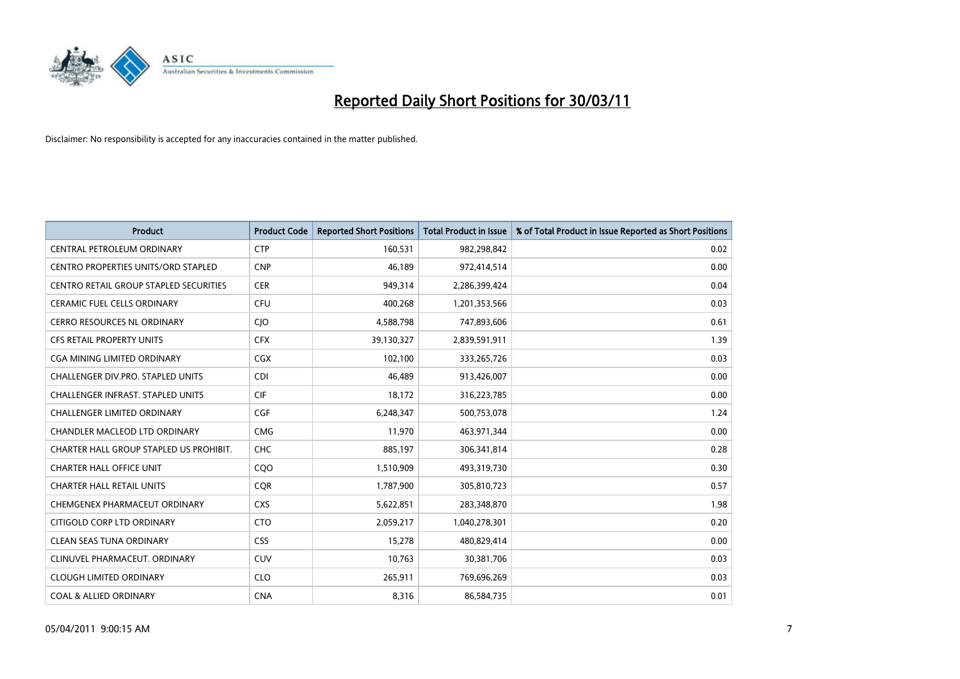

| <b>Product</b>                                | <b>Product Code</b> | <b>Reported Short Positions</b> | <b>Total Product in Issue</b> | % of Total Product in Issue Reported as Short Positions |
|-----------------------------------------------|---------------------|---------------------------------|-------------------------------|---------------------------------------------------------|
| CENTRAL PETROLEUM ORDINARY                    | <b>CTP</b>          | 160,531                         | 982,298,842                   | 0.02                                                    |
| <b>CENTRO PROPERTIES UNITS/ORD STAPLED</b>    | <b>CNP</b>          | 46,189                          | 972,414,514                   | 0.00                                                    |
| <b>CENTRO RETAIL GROUP STAPLED SECURITIES</b> | <b>CER</b>          | 949,314                         | 2,286,399,424                 | 0.04                                                    |
| CERAMIC FUEL CELLS ORDINARY                   | <b>CFU</b>          | 400,268                         | 1,201,353,566                 | 0.03                                                    |
| <b>CERRO RESOURCES NL ORDINARY</b>            | <b>CIO</b>          | 4,588,798                       | 747,893,606                   | 0.61                                                    |
| <b>CFS RETAIL PROPERTY UNITS</b>              | <b>CFX</b>          | 39,130,327                      | 2,839,591,911                 | 1.39                                                    |
| <b>CGA MINING LIMITED ORDINARY</b>            | <b>CGX</b>          | 102,100                         | 333,265,726                   | 0.03                                                    |
| <b>CHALLENGER DIV.PRO. STAPLED UNITS</b>      | <b>CDI</b>          | 46,489                          | 913,426,007                   | 0.00                                                    |
| CHALLENGER INFRAST. STAPLED UNITS             | <b>CIF</b>          | 18,172                          | 316,223,785                   | 0.00                                                    |
| <b>CHALLENGER LIMITED ORDINARY</b>            | <b>CGF</b>          | 6,248,347                       | 500,753,078                   | 1.24                                                    |
| CHANDLER MACLEOD LTD ORDINARY                 | <b>CMG</b>          | 11,970                          | 463,971,344                   | 0.00                                                    |
| CHARTER HALL GROUP STAPLED US PROHIBIT.       | <b>CHC</b>          | 885,197                         | 306,341,814                   | 0.28                                                    |
| <b>CHARTER HALL OFFICE UNIT</b>               | COO                 | 1,510,909                       | 493,319,730                   | 0.30                                                    |
| <b>CHARTER HALL RETAIL UNITS</b>              | <b>COR</b>          | 1,787,900                       | 305,810,723                   | 0.57                                                    |
| CHEMGENEX PHARMACEUT ORDINARY                 | <b>CXS</b>          | 5,622,851                       | 283,348,870                   | 1.98                                                    |
| CITIGOLD CORP LTD ORDINARY                    | <b>CTO</b>          | 2,059,217                       | 1,040,278,301                 | 0.20                                                    |
| <b>CLEAN SEAS TUNA ORDINARY</b>               | <b>CSS</b>          | 15,278                          | 480,829,414                   | 0.00                                                    |
| CLINUVEL PHARMACEUT. ORDINARY                 | <b>CUV</b>          | 10,763                          | 30,381,706                    | 0.03                                                    |
| <b>CLOUGH LIMITED ORDINARY</b>                | <b>CLO</b>          | 265,911                         | 769,696,269                   | 0.03                                                    |
| <b>COAL &amp; ALLIED ORDINARY</b>             | <b>CNA</b>          | 8,316                           | 86,584,735                    | 0.01                                                    |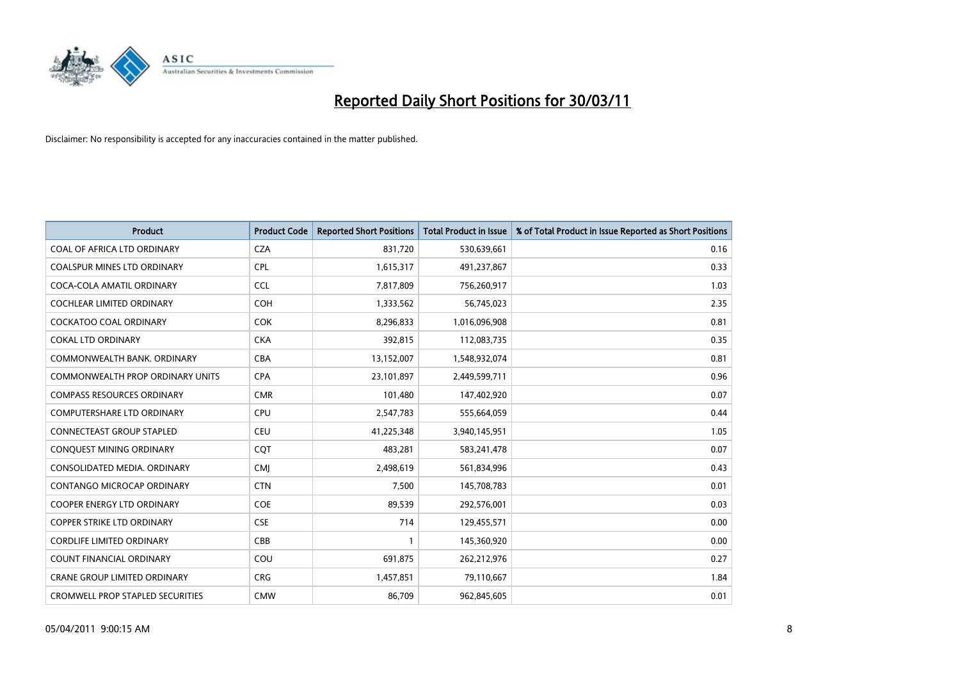

| Product                                 | <b>Product Code</b> | <b>Reported Short Positions</b> | <b>Total Product in Issue</b> | % of Total Product in Issue Reported as Short Positions |
|-----------------------------------------|---------------------|---------------------------------|-------------------------------|---------------------------------------------------------|
| COAL OF AFRICA LTD ORDINARY             | <b>CZA</b>          | 831,720                         | 530,639,661                   | 0.16                                                    |
| <b>COALSPUR MINES LTD ORDINARY</b>      | <b>CPL</b>          | 1,615,317                       | 491,237,867                   | 0.33                                                    |
| COCA-COLA AMATIL ORDINARY               | <b>CCL</b>          | 7,817,809                       | 756,260,917                   | 1.03                                                    |
| COCHLEAR LIMITED ORDINARY               | <b>COH</b>          | 1,333,562                       | 56,745,023                    | 2.35                                                    |
| <b>COCKATOO COAL ORDINARY</b>           | <b>COK</b>          | 8,296,833                       | 1,016,096,908                 | 0.81                                                    |
| <b>COKAL LTD ORDINARY</b>               | <b>CKA</b>          | 392,815                         | 112,083,735                   | 0.35                                                    |
| COMMONWEALTH BANK, ORDINARY             | <b>CBA</b>          | 13,152,007                      | 1,548,932,074                 | 0.81                                                    |
| <b>COMMONWEALTH PROP ORDINARY UNITS</b> | <b>CPA</b>          | 23,101,897                      | 2,449,599,711                 | 0.96                                                    |
| <b>COMPASS RESOURCES ORDINARY</b>       | <b>CMR</b>          | 101,480                         | 147,402,920                   | 0.07                                                    |
| <b>COMPUTERSHARE LTD ORDINARY</b>       | <b>CPU</b>          | 2,547,783                       | 555,664,059                   | 0.44                                                    |
| <b>CONNECTEAST GROUP STAPLED</b>        | <b>CEU</b>          | 41,225,348                      | 3,940,145,951                 | 1.05                                                    |
| CONQUEST MINING ORDINARY                | CQT                 | 483,281                         | 583,241,478                   | 0.07                                                    |
| CONSOLIDATED MEDIA, ORDINARY            | <b>CMJ</b>          | 2,498,619                       | 561,834,996                   | 0.43                                                    |
| CONTANGO MICROCAP ORDINARY              | <b>CTN</b>          | 7,500                           | 145,708,783                   | 0.01                                                    |
| <b>COOPER ENERGY LTD ORDINARY</b>       | <b>COE</b>          | 89,539                          | 292,576,001                   | 0.03                                                    |
| <b>COPPER STRIKE LTD ORDINARY</b>       | <b>CSE</b>          | 714                             | 129,455,571                   | 0.00                                                    |
| <b>CORDLIFE LIMITED ORDINARY</b>        | CBB                 |                                 | 145,360,920                   | 0.00                                                    |
| COUNT FINANCIAL ORDINARY                | COU                 | 691,875                         | 262,212,976                   | 0.27                                                    |
| <b>CRANE GROUP LIMITED ORDINARY</b>     | <b>CRG</b>          | 1,457,851                       | 79,110,667                    | 1.84                                                    |
| <b>CROMWELL PROP STAPLED SECURITIES</b> | <b>CMW</b>          | 86,709                          | 962,845,605                   | 0.01                                                    |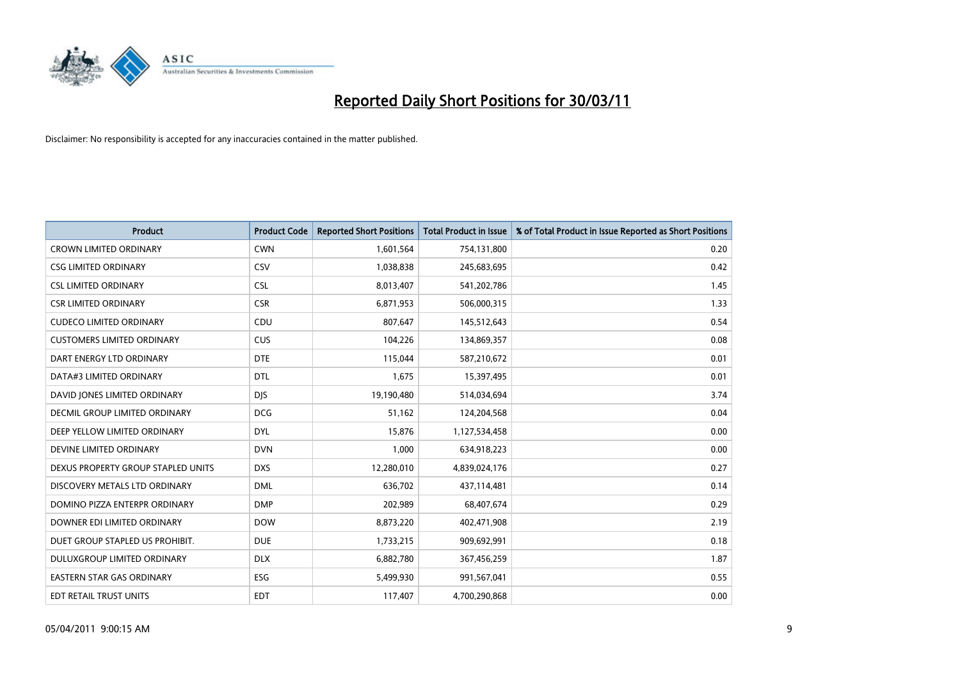

| Product                            | <b>Product Code</b> | <b>Reported Short Positions</b> | <b>Total Product in Issue</b> | % of Total Product in Issue Reported as Short Positions |
|------------------------------------|---------------------|---------------------------------|-------------------------------|---------------------------------------------------------|
| <b>CROWN LIMITED ORDINARY</b>      | <b>CWN</b>          | 1,601,564                       | 754,131,800                   | 0.20                                                    |
| <b>CSG LIMITED ORDINARY</b>        | CSV                 | 1,038,838                       | 245,683,695                   | 0.42                                                    |
| <b>CSL LIMITED ORDINARY</b>        | <b>CSL</b>          | 8,013,407                       | 541,202,786                   | 1.45                                                    |
| <b>CSR LIMITED ORDINARY</b>        | <b>CSR</b>          | 6,871,953                       | 506,000,315                   | 1.33                                                    |
| <b>CUDECO LIMITED ORDINARY</b>     | CDU                 | 807,647                         | 145,512,643                   | 0.54                                                    |
| <b>CUSTOMERS LIMITED ORDINARY</b>  | <b>CUS</b>          | 104,226                         | 134,869,357                   | 0.08                                                    |
| DART ENERGY LTD ORDINARY           | <b>DTE</b>          | 115,044                         | 587,210,672                   | 0.01                                                    |
| DATA#3 LIMITED ORDINARY            | <b>DTL</b>          | 1,675                           | 15,397,495                    | 0.01                                                    |
| DAVID JONES LIMITED ORDINARY       | <b>DJS</b>          | 19,190,480                      | 514,034,694                   | 3.74                                                    |
| DECMIL GROUP LIMITED ORDINARY      | <b>DCG</b>          | 51,162                          | 124,204,568                   | 0.04                                                    |
| DEEP YELLOW LIMITED ORDINARY       | <b>DYL</b>          | 15,876                          | 1,127,534,458                 | 0.00                                                    |
| DEVINE LIMITED ORDINARY            | <b>DVN</b>          | 1,000                           | 634,918,223                   | 0.00                                                    |
| DEXUS PROPERTY GROUP STAPLED UNITS | <b>DXS</b>          | 12,280,010                      | 4,839,024,176                 | 0.27                                                    |
| DISCOVERY METALS LTD ORDINARY      | <b>DML</b>          | 636,702                         | 437,114,481                   | 0.14                                                    |
| DOMINO PIZZA ENTERPR ORDINARY      | <b>DMP</b>          | 202,989                         | 68,407,674                    | 0.29                                                    |
| DOWNER EDI LIMITED ORDINARY        | <b>DOW</b>          | 8,873,220                       | 402,471,908                   | 2.19                                                    |
| DUET GROUP STAPLED US PROHIBIT.    | <b>DUE</b>          | 1,733,215                       | 909,692,991                   | 0.18                                                    |
| DULUXGROUP LIMITED ORDINARY        | <b>DLX</b>          | 6,882,780                       | 367,456,259                   | 1.87                                                    |
| <b>EASTERN STAR GAS ORDINARY</b>   | ESG                 | 5,499,930                       | 991,567,041                   | 0.55                                                    |
| <b>EDT RETAIL TRUST UNITS</b>      | <b>EDT</b>          | 117,407                         | 4,700,290,868                 | 0.00                                                    |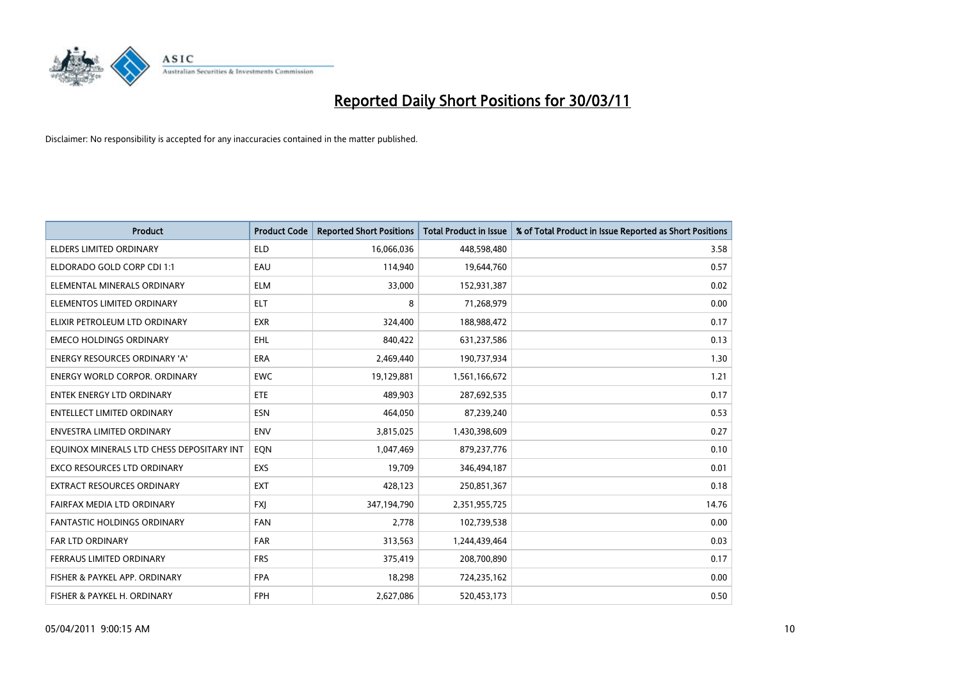

| <b>Product</b>                            | <b>Product Code</b> | <b>Reported Short Positions</b> | Total Product in Issue | % of Total Product in Issue Reported as Short Positions |
|-------------------------------------------|---------------------|---------------------------------|------------------------|---------------------------------------------------------|
| <b>ELDERS LIMITED ORDINARY</b>            | <b>ELD</b>          | 16,066,036                      | 448,598,480            | 3.58                                                    |
| ELDORADO GOLD CORP CDI 1:1                | EAU                 | 114,940                         | 19,644,760             | 0.57                                                    |
| ELEMENTAL MINERALS ORDINARY               | <b>ELM</b>          | 33,000                          | 152,931,387            | 0.02                                                    |
| ELEMENTOS LIMITED ORDINARY                | <b>ELT</b>          | 8                               | 71,268,979             | 0.00                                                    |
| ELIXIR PETROLEUM LTD ORDINARY             | <b>EXR</b>          | 324,400                         | 188,988,472            | 0.17                                                    |
| <b>EMECO HOLDINGS ORDINARY</b>            | <b>EHL</b>          | 840,422                         | 631,237,586            | 0.13                                                    |
| ENERGY RESOURCES ORDINARY 'A'             | <b>ERA</b>          | 2,469,440                       | 190,737,934            | 1.30                                                    |
| <b>ENERGY WORLD CORPOR. ORDINARY</b>      | <b>EWC</b>          | 19,129,881                      | 1,561,166,672          | 1.21                                                    |
| <b>ENTEK ENERGY LTD ORDINARY</b>          | <b>ETE</b>          | 489.903                         | 287,692,535            | 0.17                                                    |
| <b>ENTELLECT LIMITED ORDINARY</b>         | <b>ESN</b>          | 464,050                         | 87,239,240             | 0.53                                                    |
| <b>ENVESTRA LIMITED ORDINARY</b>          | <b>ENV</b>          | 3,815,025                       | 1,430,398,609          | 0.27                                                    |
| EQUINOX MINERALS LTD CHESS DEPOSITARY INT | EON                 | 1,047,469                       | 879,237,776            | 0.10                                                    |
| <b>EXCO RESOURCES LTD ORDINARY</b>        | EXS                 | 19,709                          | 346,494,187            | 0.01                                                    |
| <b>EXTRACT RESOURCES ORDINARY</b>         | <b>EXT</b>          | 428,123                         | 250,851,367            | 0.18                                                    |
| FAIRFAX MEDIA LTD ORDINARY                | <b>FXJ</b>          | 347,194,790                     | 2,351,955,725          | 14.76                                                   |
| FANTASTIC HOLDINGS ORDINARY               | <b>FAN</b>          | 2,778                           | 102,739,538            | 0.00                                                    |
| FAR LTD ORDINARY                          | <b>FAR</b>          | 313,563                         | 1,244,439,464          | 0.03                                                    |
| FERRAUS LIMITED ORDINARY                  | <b>FRS</b>          | 375,419                         | 208,700,890            | 0.17                                                    |
| FISHER & PAYKEL APP. ORDINARY             | <b>FPA</b>          | 18,298                          | 724,235,162            | 0.00                                                    |
| FISHER & PAYKEL H. ORDINARY               | <b>FPH</b>          | 2,627,086                       | 520,453,173            | 0.50                                                    |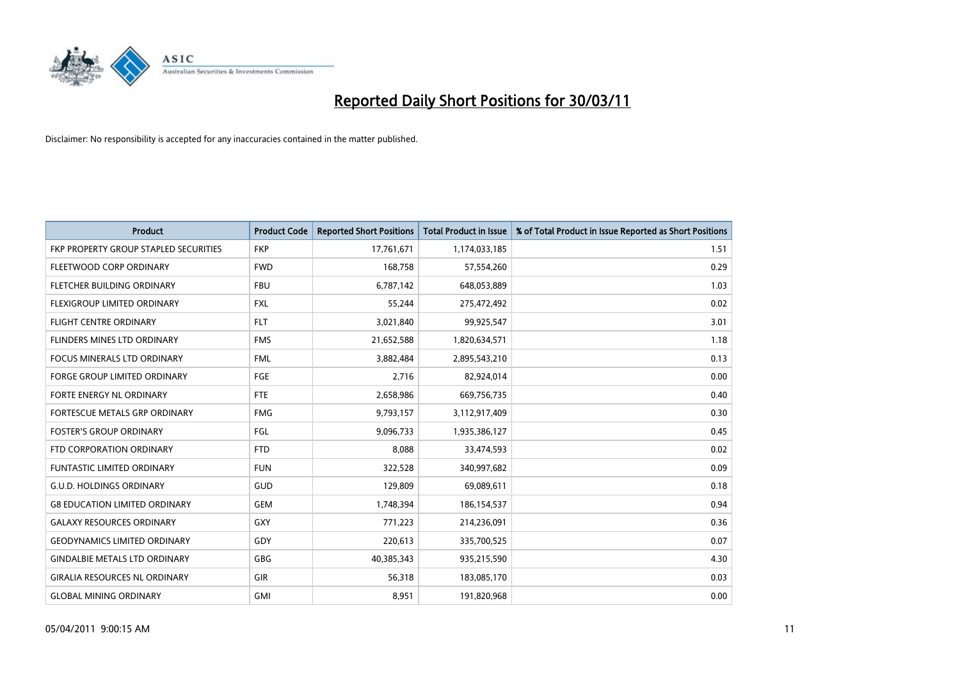

| <b>Product</b>                        | <b>Product Code</b> | <b>Reported Short Positions</b> | <b>Total Product in Issue</b> | % of Total Product in Issue Reported as Short Positions |
|---------------------------------------|---------------------|---------------------------------|-------------------------------|---------------------------------------------------------|
| FKP PROPERTY GROUP STAPLED SECURITIES | <b>FKP</b>          | 17,761,671                      | 1,174,033,185                 | 1.51                                                    |
| FLEETWOOD CORP ORDINARY               | <b>FWD</b>          | 168,758                         | 57,554,260                    | 0.29                                                    |
| FLETCHER BUILDING ORDINARY            | <b>FBU</b>          | 6,787,142                       | 648,053,889                   | 1.03                                                    |
| FLEXIGROUP LIMITED ORDINARY           | <b>FXL</b>          | 55,244                          | 275,472,492                   | 0.02                                                    |
| <b>FLIGHT CENTRE ORDINARY</b>         | <b>FLT</b>          | 3,021,840                       | 99,925,547                    | 3.01                                                    |
| FLINDERS MINES LTD ORDINARY           | <b>FMS</b>          | 21,652,588                      | 1,820,634,571                 | 1.18                                                    |
| <b>FOCUS MINERALS LTD ORDINARY</b>    | <b>FML</b>          | 3,882,484                       | 2,895,543,210                 | 0.13                                                    |
| FORGE GROUP LIMITED ORDINARY          | <b>FGE</b>          | 2,716                           | 82,924,014                    | 0.00                                                    |
| FORTE ENERGY NL ORDINARY              | <b>FTE</b>          | 2,658,986                       | 669,756,735                   | 0.40                                                    |
| FORTESCUE METALS GRP ORDINARY         | <b>FMG</b>          | 9,793,157                       | 3,112,917,409                 | 0.30                                                    |
| <b>FOSTER'S GROUP ORDINARY</b>        | <b>FGL</b>          | 9,096,733                       | 1,935,386,127                 | 0.45                                                    |
| FTD CORPORATION ORDINARY              | <b>FTD</b>          | 8,088                           | 33,474,593                    | 0.02                                                    |
| <b>FUNTASTIC LIMITED ORDINARY</b>     | <b>FUN</b>          | 322,528                         | 340,997,682                   | 0.09                                                    |
| <b>G.U.D. HOLDINGS ORDINARY</b>       | GUD                 | 129,809                         | 69,089,611                    | 0.18                                                    |
| <b>G8 EDUCATION LIMITED ORDINARY</b>  | <b>GEM</b>          | 1,748,394                       | 186,154,537                   | 0.94                                                    |
| <b>GALAXY RESOURCES ORDINARY</b>      | <b>GXY</b>          | 771,223                         | 214,236,091                   | 0.36                                                    |
| <b>GEODYNAMICS LIMITED ORDINARY</b>   | GDY                 | 220,613                         | 335,700,525                   | 0.07                                                    |
| GINDALBIE METALS LTD ORDINARY         | <b>GBG</b>          | 40,385,343                      | 935,215,590                   | 4.30                                                    |
| <b>GIRALIA RESOURCES NL ORDINARY</b>  | GIR                 | 56,318                          | 183,085,170                   | 0.03                                                    |
| <b>GLOBAL MINING ORDINARY</b>         | <b>GMI</b>          | 8,951                           | 191,820,968                   | 0.00                                                    |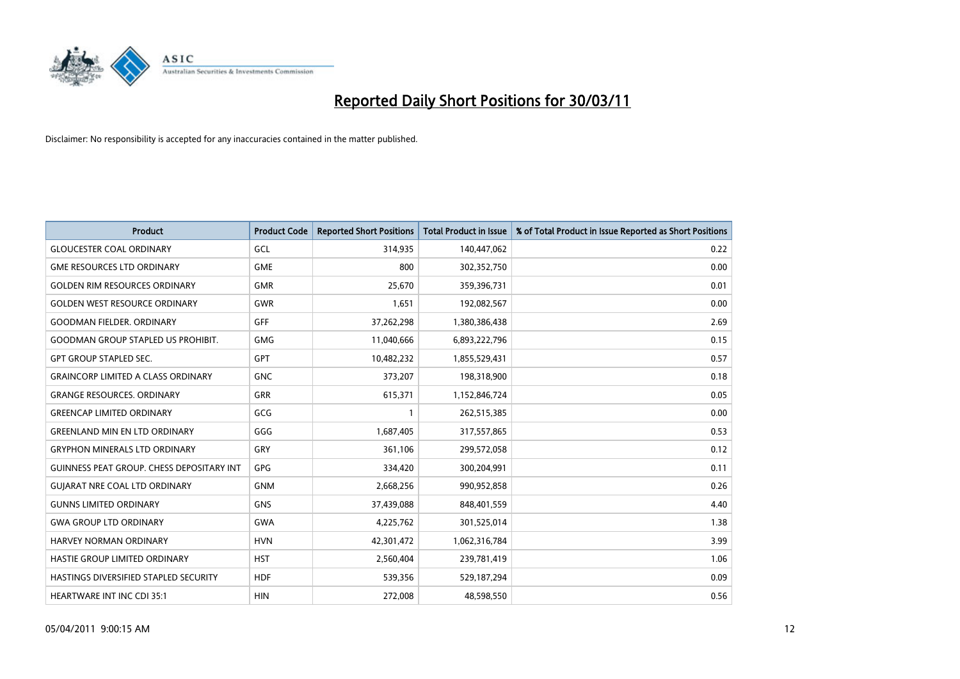

| <b>Product</b>                                   | <b>Product Code</b> | <b>Reported Short Positions</b> | <b>Total Product in Issue</b> | % of Total Product in Issue Reported as Short Positions |
|--------------------------------------------------|---------------------|---------------------------------|-------------------------------|---------------------------------------------------------|
| <b>GLOUCESTER COAL ORDINARY</b>                  | GCL                 | 314,935                         | 140,447,062                   | 0.22                                                    |
| <b>GME RESOURCES LTD ORDINARY</b>                | <b>GME</b>          | 800                             | 302,352,750                   | 0.00                                                    |
| <b>GOLDEN RIM RESOURCES ORDINARY</b>             | <b>GMR</b>          | 25,670                          | 359,396,731                   | 0.01                                                    |
| <b>GOLDEN WEST RESOURCE ORDINARY</b>             | <b>GWR</b>          | 1,651                           | 192,082,567                   | 0.00                                                    |
| <b>GOODMAN FIELDER, ORDINARY</b>                 | GFF                 | 37,262,298                      | 1,380,386,438                 | 2.69                                                    |
| <b>GOODMAN GROUP STAPLED US PROHIBIT.</b>        | <b>GMG</b>          | 11,040,666                      | 6,893,222,796                 | 0.15                                                    |
| <b>GPT GROUP STAPLED SEC.</b>                    | <b>GPT</b>          | 10,482,232                      | 1,855,529,431                 | 0.57                                                    |
| <b>GRAINCORP LIMITED A CLASS ORDINARY</b>        | <b>GNC</b>          | 373,207                         | 198,318,900                   | 0.18                                                    |
| <b>GRANGE RESOURCES. ORDINARY</b>                | GRR                 | 615,371                         | 1,152,846,724                 | 0.05                                                    |
| <b>GREENCAP LIMITED ORDINARY</b>                 | GCG                 |                                 | 262,515,385                   | 0.00                                                    |
| <b>GREENLAND MIN EN LTD ORDINARY</b>             | GGG                 | 1,687,405                       | 317,557,865                   | 0.53                                                    |
| <b>GRYPHON MINERALS LTD ORDINARY</b>             | GRY                 | 361,106                         | 299,572,058                   | 0.12                                                    |
| <b>GUINNESS PEAT GROUP. CHESS DEPOSITARY INT</b> | <b>GPG</b>          | 334,420                         | 300,204,991                   | 0.11                                                    |
| <b>GUIARAT NRE COAL LTD ORDINARY</b>             | <b>GNM</b>          | 2,668,256                       | 990,952,858                   | 0.26                                                    |
| <b>GUNNS LIMITED ORDINARY</b>                    | <b>GNS</b>          | 37,439,088                      | 848,401,559                   | 4.40                                                    |
| <b>GWA GROUP LTD ORDINARY</b>                    | <b>GWA</b>          | 4,225,762                       | 301,525,014                   | 1.38                                                    |
| HARVEY NORMAN ORDINARY                           | <b>HVN</b>          | 42,301,472                      | 1,062,316,784                 | 3.99                                                    |
| HASTIE GROUP LIMITED ORDINARY                    | <b>HST</b>          | 2,560,404                       | 239,781,419                   | 1.06                                                    |
| HASTINGS DIVERSIFIED STAPLED SECURITY            | <b>HDF</b>          | 539,356                         | 529,187,294                   | 0.09                                                    |
| <b>HEARTWARE INT INC CDI 35:1</b>                | <b>HIN</b>          | 272,008                         | 48,598,550                    | 0.56                                                    |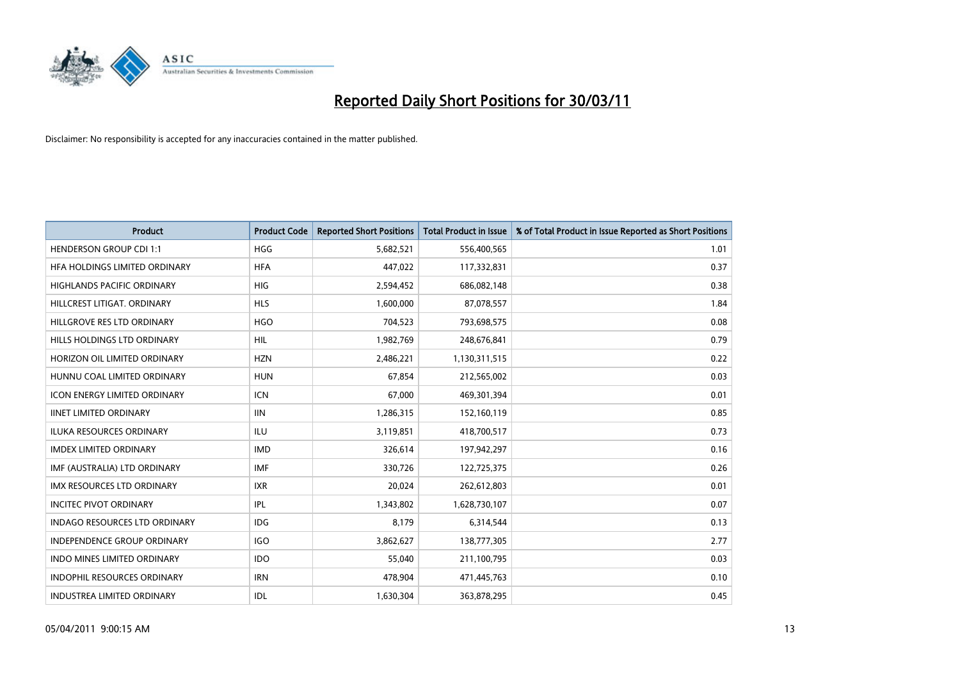

| <b>Product</b>                       | <b>Product Code</b> | <b>Reported Short Positions</b> | Total Product in Issue | % of Total Product in Issue Reported as Short Positions |
|--------------------------------------|---------------------|---------------------------------|------------------------|---------------------------------------------------------|
| <b>HENDERSON GROUP CDI 1:1</b>       | <b>HGG</b>          | 5,682,521                       | 556,400,565            | 1.01                                                    |
| HFA HOLDINGS LIMITED ORDINARY        | <b>HFA</b>          | 447,022                         | 117,332,831            | 0.37                                                    |
| <b>HIGHLANDS PACIFIC ORDINARY</b>    | <b>HIG</b>          | 2,594,452                       | 686,082,148            | 0.38                                                    |
| HILLCREST LITIGAT, ORDINARY          | <b>HLS</b>          | 1,600,000                       | 87,078,557             | 1.84                                                    |
| HILLGROVE RES LTD ORDINARY           | <b>HGO</b>          | 704,523                         | 793,698,575            | 0.08                                                    |
| HILLS HOLDINGS LTD ORDINARY          | <b>HIL</b>          | 1,982,769                       | 248,676,841            | 0.79                                                    |
| HORIZON OIL LIMITED ORDINARY         | <b>HZN</b>          | 2,486,221                       | 1,130,311,515          | 0.22                                                    |
| HUNNU COAL LIMITED ORDINARY          | <b>HUN</b>          | 67,854                          | 212,565,002            | 0.03                                                    |
| ICON ENERGY LIMITED ORDINARY         | <b>ICN</b>          | 67,000                          | 469,301,394            | 0.01                                                    |
| <b>IINET LIMITED ORDINARY</b>        | <b>IIN</b>          | 1,286,315                       | 152,160,119            | 0.85                                                    |
| <b>ILUKA RESOURCES ORDINARY</b>      | <b>ILU</b>          | 3,119,851                       | 418,700,517            | 0.73                                                    |
| <b>IMDEX LIMITED ORDINARY</b>        | <b>IMD</b>          | 326,614                         | 197,942,297            | 0.16                                                    |
| IMF (AUSTRALIA) LTD ORDINARY         | <b>IMF</b>          | 330,726                         | 122,725,375            | 0.26                                                    |
| <b>IMX RESOURCES LTD ORDINARY</b>    | <b>IXR</b>          | 20,024                          | 262,612,803            | 0.01                                                    |
| <b>INCITEC PIVOT ORDINARY</b>        | IPL                 | 1,343,802                       | 1,628,730,107          | 0.07                                                    |
| <b>INDAGO RESOURCES LTD ORDINARY</b> | IDG                 | 8,179                           | 6,314,544              | 0.13                                                    |
| <b>INDEPENDENCE GROUP ORDINARY</b>   | <b>IGO</b>          | 3,862,627                       | 138,777,305            | 2.77                                                    |
| INDO MINES LIMITED ORDINARY          | <b>IDO</b>          | 55,040                          | 211,100,795            | 0.03                                                    |
| <b>INDOPHIL RESOURCES ORDINARY</b>   | <b>IRN</b>          | 478,904                         | 471,445,763            | 0.10                                                    |
| INDUSTREA LIMITED ORDINARY           | IDL                 | 1,630,304                       | 363,878,295            | 0.45                                                    |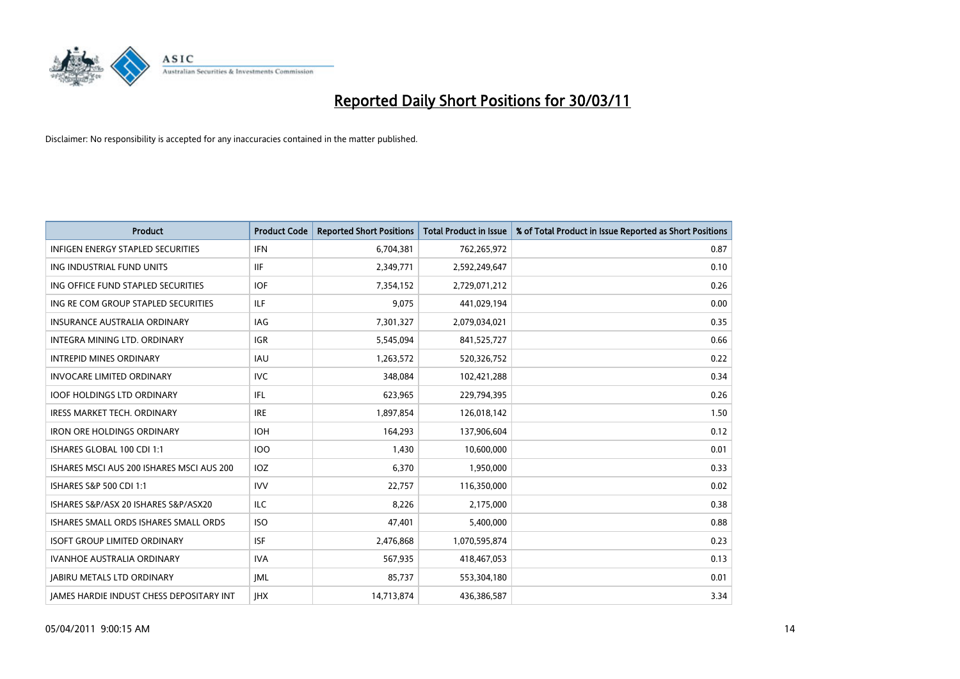

| <b>Product</b>                                  | <b>Product Code</b> | <b>Reported Short Positions</b> | <b>Total Product in Issue</b> | % of Total Product in Issue Reported as Short Positions |
|-------------------------------------------------|---------------------|---------------------------------|-------------------------------|---------------------------------------------------------|
| <b>INFIGEN ENERGY STAPLED SECURITIES</b>        | <b>IFN</b>          | 6,704,381                       | 762,265,972                   | 0.87                                                    |
| ING INDUSTRIAL FUND UNITS                       | <b>IIF</b>          | 2,349,771                       | 2,592,249,647                 | 0.10                                                    |
| ING OFFICE FUND STAPLED SECURITIES              | <b>IOF</b>          | 7,354,152                       | 2,729,071,212                 | 0.26                                                    |
| ING RE COM GROUP STAPLED SECURITIES             | <b>ILF</b>          | 9,075                           | 441,029,194                   | 0.00                                                    |
| <b>INSURANCE AUSTRALIA ORDINARY</b>             | IAG                 | 7,301,327                       | 2,079,034,021                 | 0.35                                                    |
| INTEGRA MINING LTD. ORDINARY                    | <b>IGR</b>          | 5,545,094                       | 841,525,727                   | 0.66                                                    |
| <b>INTREPID MINES ORDINARY</b>                  | <b>IAU</b>          | 1,263,572                       | 520,326,752                   | 0.22                                                    |
| <b>INVOCARE LIMITED ORDINARY</b>                | <b>IVC</b>          | 348,084                         | 102,421,288                   | 0.34                                                    |
| <b>IOOF HOLDINGS LTD ORDINARY</b>               | <b>IFL</b>          | 623,965                         | 229,794,395                   | 0.26                                                    |
| <b>IRESS MARKET TECH. ORDINARY</b>              | <b>IRE</b>          | 1,897,854                       | 126,018,142                   | 1.50                                                    |
| <b>IRON ORE HOLDINGS ORDINARY</b>               | <b>IOH</b>          | 164,293                         | 137,906,604                   | 0.12                                                    |
| ISHARES GLOBAL 100 CDI 1:1                      | 100                 | 1,430                           | 10,600,000                    | 0.01                                                    |
| ISHARES MSCI AUS 200 ISHARES MSCI AUS 200       | IOZ                 | 6,370                           | 1,950,000                     | 0.33                                                    |
| ISHARES S&P 500 CDI 1:1                         | <b>IVV</b>          | 22,757                          | 116,350,000                   | 0.02                                                    |
| ISHARES S&P/ASX 20 ISHARES S&P/ASX20            | <b>ILC</b>          | 8,226                           | 2,175,000                     | 0.38                                                    |
| ISHARES SMALL ORDS ISHARES SMALL ORDS           | <b>ISO</b>          | 47,401                          | 5,400,000                     | 0.88                                                    |
| <b>ISOFT GROUP LIMITED ORDINARY</b>             | <b>ISF</b>          | 2,476,868                       | 1,070,595,874                 | 0.23                                                    |
| IVANHOE AUSTRALIA ORDINARY                      | <b>IVA</b>          | 567,935                         | 418,467,053                   | 0.13                                                    |
| <b>IABIRU METALS LTD ORDINARY</b>               | <b>JML</b>          | 85,737                          | 553,304,180                   | 0.01                                                    |
| <b>IAMES HARDIE INDUST CHESS DEPOSITARY INT</b> | <b>JHX</b>          | 14,713,874                      | 436,386,587                   | 3.34                                                    |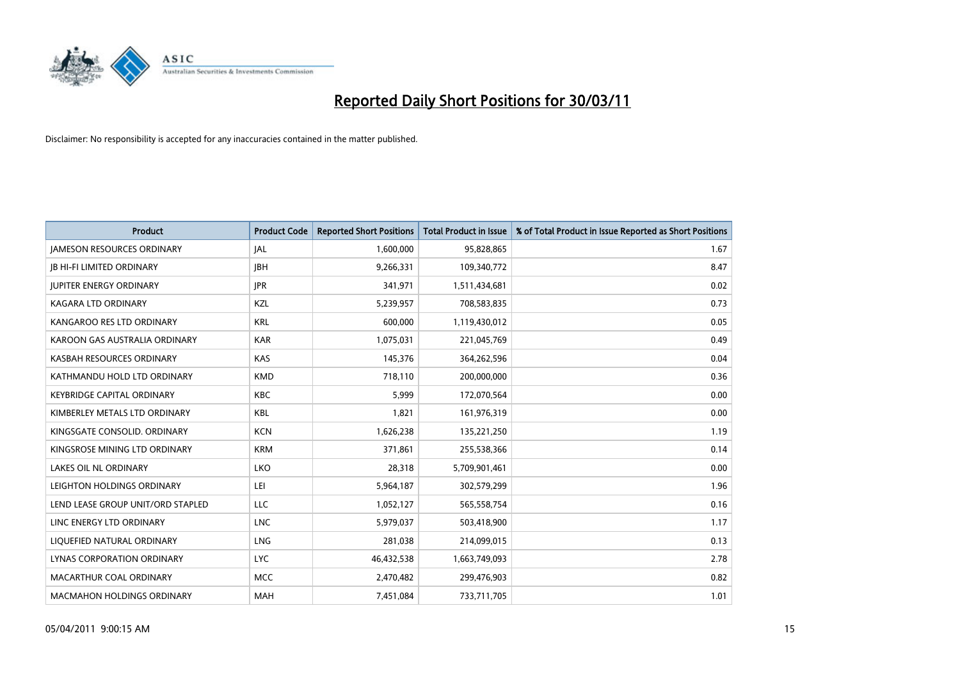

| <b>Product</b>                    | <b>Product Code</b> | <b>Reported Short Positions</b> | <b>Total Product in Issue</b> | % of Total Product in Issue Reported as Short Positions |
|-----------------------------------|---------------------|---------------------------------|-------------------------------|---------------------------------------------------------|
| <b>JAMESON RESOURCES ORDINARY</b> | <b>JAL</b>          | 1,600,000                       | 95,828,865                    | 1.67                                                    |
| <b>JB HI-FI LIMITED ORDINARY</b>  | <b>IBH</b>          | 9,266,331                       | 109,340,772                   | 8.47                                                    |
| <b>JUPITER ENERGY ORDINARY</b>    | <b>JPR</b>          | 341,971                         | 1,511,434,681                 | 0.02                                                    |
| KAGARA LTD ORDINARY               | KZL                 | 5,239,957                       | 708,583,835                   | 0.73                                                    |
| KANGAROO RES LTD ORDINARY         | <b>KRL</b>          | 600,000                         | 1,119,430,012                 | 0.05                                                    |
| KAROON GAS AUSTRALIA ORDINARY     | <b>KAR</b>          | 1,075,031                       | 221,045,769                   | 0.49                                                    |
| KASBAH RESOURCES ORDINARY         | <b>KAS</b>          | 145,376                         | 364,262,596                   | 0.04                                                    |
| KATHMANDU HOLD LTD ORDINARY       | <b>KMD</b>          | 718,110                         | 200,000,000                   | 0.36                                                    |
| <b>KEYBRIDGE CAPITAL ORDINARY</b> | <b>KBC</b>          | 5,999                           | 172,070,564                   | 0.00                                                    |
| KIMBERLEY METALS LTD ORDINARY     | <b>KBL</b>          | 1,821                           | 161,976,319                   | 0.00                                                    |
| KINGSGATE CONSOLID. ORDINARY      | <b>KCN</b>          | 1,626,238                       | 135,221,250                   | 1.19                                                    |
| KINGSROSE MINING LTD ORDINARY     | <b>KRM</b>          | 371,861                         | 255,538,366                   | 0.14                                                    |
| LAKES OIL NL ORDINARY             | LKO                 | 28,318                          | 5,709,901,461                 | 0.00                                                    |
| LEIGHTON HOLDINGS ORDINARY        | LEI                 | 5,964,187                       | 302,579,299                   | 1.96                                                    |
| LEND LEASE GROUP UNIT/ORD STAPLED | LLC                 | 1,052,127                       | 565,558,754                   | 0.16                                                    |
| LINC ENERGY LTD ORDINARY          | <b>LNC</b>          | 5,979,037                       | 503,418,900                   | 1.17                                                    |
| LIQUEFIED NATURAL ORDINARY        | LNG                 | 281,038                         | 214,099,015                   | 0.13                                                    |
| LYNAS CORPORATION ORDINARY        | <b>LYC</b>          | 46,432,538                      | 1,663,749,093                 | 2.78                                                    |
| MACARTHUR COAL ORDINARY           | <b>MCC</b>          | 2,470,482                       | 299,476,903                   | 0.82                                                    |
| <b>MACMAHON HOLDINGS ORDINARY</b> | MAH                 | 7,451,084                       | 733,711,705                   | 1.01                                                    |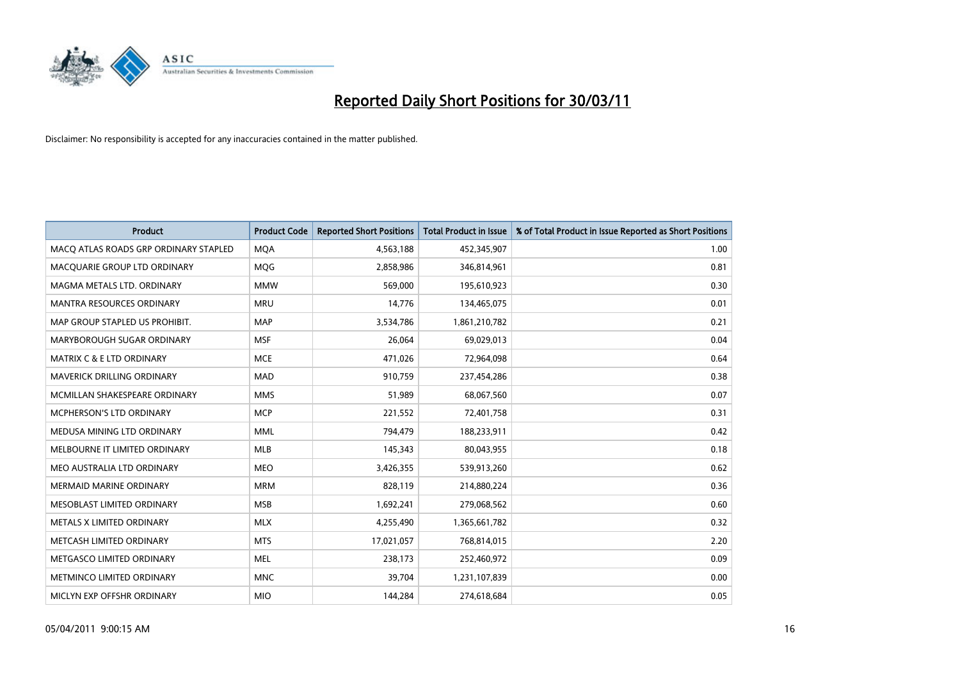

| Product                               | <b>Product Code</b> | <b>Reported Short Positions</b> | Total Product in Issue | % of Total Product in Issue Reported as Short Positions |
|---------------------------------------|---------------------|---------------------------------|------------------------|---------------------------------------------------------|
| MACO ATLAS ROADS GRP ORDINARY STAPLED | <b>MQA</b>          | 4,563,188                       | 452,345,907            | 1.00                                                    |
| MACQUARIE GROUP LTD ORDINARY          | MQG                 | 2,858,986                       | 346,814,961            | 0.81                                                    |
| MAGMA METALS LTD. ORDINARY            | <b>MMW</b>          | 569,000                         | 195,610,923            | 0.30                                                    |
| MANTRA RESOURCES ORDINARY             | <b>MRU</b>          | 14,776                          | 134,465,075            | 0.01                                                    |
| MAP GROUP STAPLED US PROHIBIT.        | <b>MAP</b>          | 3,534,786                       | 1,861,210,782          | 0.21                                                    |
| MARYBOROUGH SUGAR ORDINARY            | <b>MSF</b>          | 26,064                          | 69,029,013             | 0.04                                                    |
| <b>MATRIX C &amp; E LTD ORDINARY</b>  | <b>MCE</b>          | 471,026                         | 72,964,098             | 0.64                                                    |
| MAVERICK DRILLING ORDINARY            | <b>MAD</b>          | 910,759                         | 237,454,286            | 0.38                                                    |
| MCMILLAN SHAKESPEARE ORDINARY         | <b>MMS</b>          | 51,989                          | 68,067,560             | 0.07                                                    |
| MCPHERSON'S LTD ORDINARY              | <b>MCP</b>          | 221,552                         | 72,401,758             | 0.31                                                    |
| MEDUSA MINING LTD ORDINARY            | <b>MML</b>          | 794,479                         | 188,233,911            | 0.42                                                    |
| MELBOURNE IT LIMITED ORDINARY         | <b>MLB</b>          | 145,343                         | 80,043,955             | 0.18                                                    |
| MEO AUSTRALIA LTD ORDINARY            | <b>MEO</b>          | 3,426,355                       | 539,913,260            | 0.62                                                    |
| <b>MERMAID MARINE ORDINARY</b>        | <b>MRM</b>          | 828,119                         | 214,880,224            | 0.36                                                    |
| MESOBLAST LIMITED ORDINARY            | <b>MSB</b>          | 1,692,241                       | 279,068,562            | 0.60                                                    |
| METALS X LIMITED ORDINARY             | <b>MLX</b>          | 4,255,490                       | 1,365,661,782          | 0.32                                                    |
| METCASH LIMITED ORDINARY              | <b>MTS</b>          | 17,021,057                      | 768,814,015            | 2.20                                                    |
| METGASCO LIMITED ORDINARY             | <b>MEL</b>          | 238,173                         | 252,460,972            | 0.09                                                    |
| METMINCO LIMITED ORDINARY             | <b>MNC</b>          | 39,704                          | 1,231,107,839          | 0.00                                                    |
| MICLYN EXP OFFSHR ORDINARY            | <b>MIO</b>          | 144.284                         | 274,618,684            | 0.05                                                    |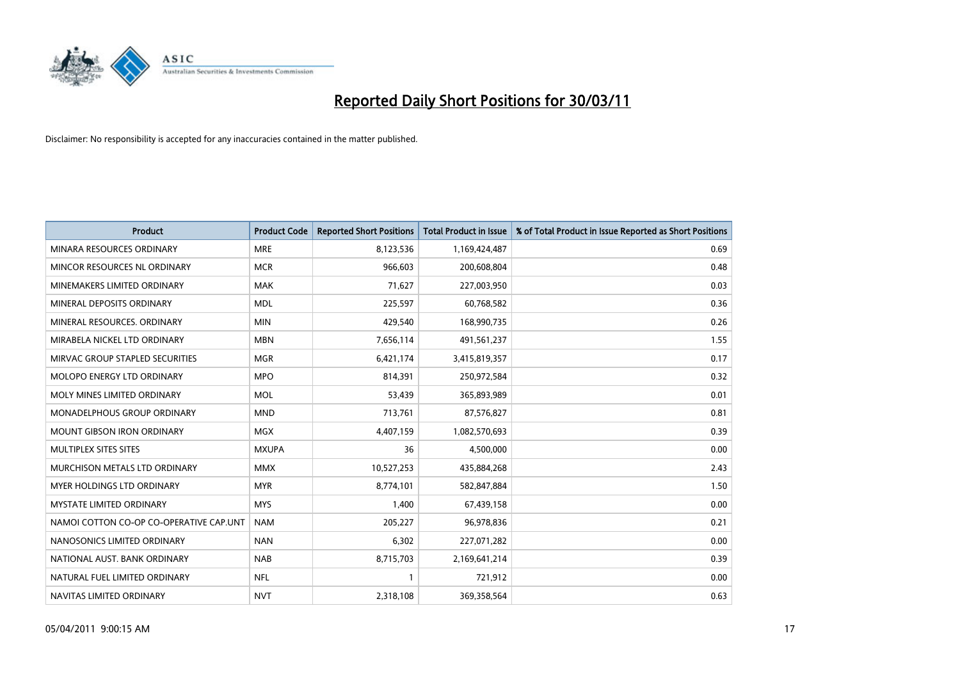

| Product                                 | <b>Product Code</b> | <b>Reported Short Positions</b> | <b>Total Product in Issue</b> | % of Total Product in Issue Reported as Short Positions |
|-----------------------------------------|---------------------|---------------------------------|-------------------------------|---------------------------------------------------------|
| MINARA RESOURCES ORDINARY               | <b>MRE</b>          | 8,123,536                       | 1,169,424,487                 | 0.69                                                    |
| MINCOR RESOURCES NL ORDINARY            | <b>MCR</b>          | 966,603                         | 200,608,804                   | 0.48                                                    |
| MINEMAKERS LIMITED ORDINARY             | <b>MAK</b>          | 71,627                          | 227,003,950                   | 0.03                                                    |
| MINERAL DEPOSITS ORDINARY               | <b>MDL</b>          | 225,597                         | 60,768,582                    | 0.36                                                    |
| MINERAL RESOURCES, ORDINARY             | <b>MIN</b>          | 429.540                         | 168,990,735                   | 0.26                                                    |
| MIRABELA NICKEL LTD ORDINARY            | <b>MBN</b>          | 7,656,114                       | 491,561,237                   | 1.55                                                    |
| MIRVAC GROUP STAPLED SECURITIES         | <b>MGR</b>          | 6,421,174                       | 3,415,819,357                 | 0.17                                                    |
| <b>MOLOPO ENERGY LTD ORDINARY</b>       | <b>MPO</b>          | 814,391                         | 250,972,584                   | 0.32                                                    |
| MOLY MINES LIMITED ORDINARY             | <b>MOL</b>          | 53,439                          | 365,893,989                   | 0.01                                                    |
| <b>MONADELPHOUS GROUP ORDINARY</b>      | <b>MND</b>          | 713,761                         | 87,576,827                    | 0.81                                                    |
| <b>MOUNT GIBSON IRON ORDINARY</b>       | <b>MGX</b>          | 4,407,159                       | 1,082,570,693                 | 0.39                                                    |
| MULTIPLEX SITES SITES                   | <b>MXUPA</b>        | 36                              | 4,500,000                     | 0.00                                                    |
| MURCHISON METALS LTD ORDINARY           | <b>MMX</b>          | 10,527,253                      | 435,884,268                   | 2.43                                                    |
| MYER HOLDINGS LTD ORDINARY              | <b>MYR</b>          | 8,774,101                       | 582,847,884                   | 1.50                                                    |
| <b>MYSTATE LIMITED ORDINARY</b>         | <b>MYS</b>          | 1,400                           | 67,439,158                    | 0.00                                                    |
| NAMOI COTTON CO-OP CO-OPERATIVE CAP.UNT | <b>NAM</b>          | 205,227                         | 96,978,836                    | 0.21                                                    |
| NANOSONICS LIMITED ORDINARY             | <b>NAN</b>          | 6,302                           | 227,071,282                   | 0.00                                                    |
| NATIONAL AUST. BANK ORDINARY            | <b>NAB</b>          | 8,715,703                       | 2,169,641,214                 | 0.39                                                    |
| NATURAL FUEL LIMITED ORDINARY           | <b>NFL</b>          | 1                               | 721,912                       | 0.00                                                    |
| NAVITAS LIMITED ORDINARY                | <b>NVT</b>          | 2,318,108                       | 369,358,564                   | 0.63                                                    |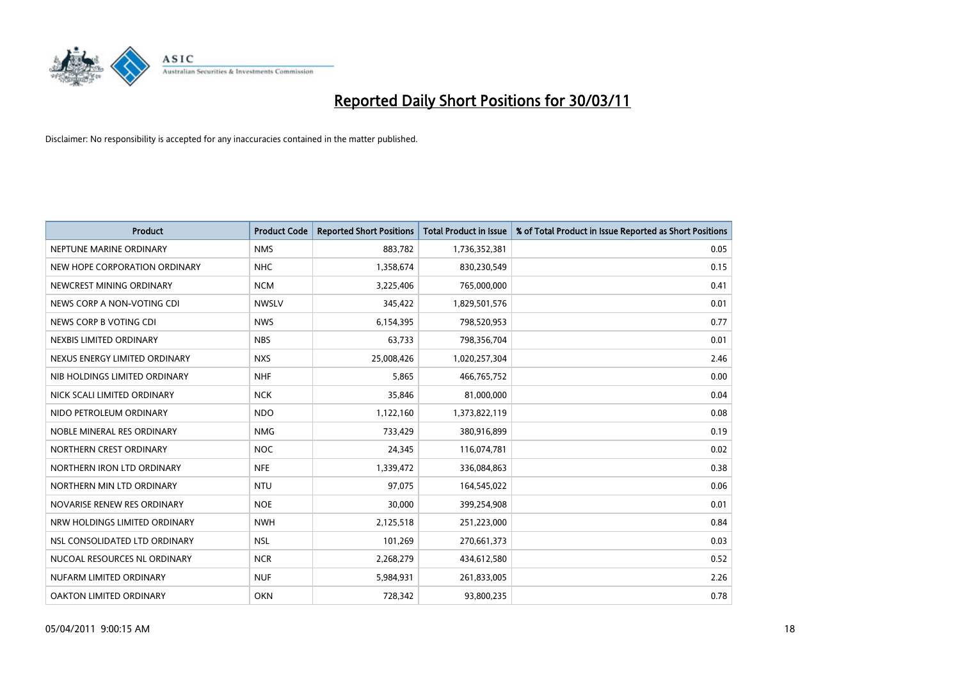

| Product                       | <b>Product Code</b> | <b>Reported Short Positions</b> | <b>Total Product in Issue</b> | % of Total Product in Issue Reported as Short Positions |
|-------------------------------|---------------------|---------------------------------|-------------------------------|---------------------------------------------------------|
| NEPTUNE MARINE ORDINARY       | <b>NMS</b>          | 883,782                         | 1,736,352,381                 | 0.05                                                    |
| NEW HOPE CORPORATION ORDINARY | <b>NHC</b>          | 1,358,674                       | 830,230,549                   | 0.15                                                    |
| NEWCREST MINING ORDINARY      | <b>NCM</b>          | 3,225,406                       | 765,000,000                   | 0.41                                                    |
| NEWS CORP A NON-VOTING CDI    | <b>NWSLV</b>        | 345,422                         | 1,829,501,576                 | 0.01                                                    |
| NEWS CORP B VOTING CDI        | <b>NWS</b>          | 6,154,395                       | 798,520,953                   | 0.77                                                    |
| NEXBIS LIMITED ORDINARY       | <b>NBS</b>          | 63,733                          | 798,356,704                   | 0.01                                                    |
| NEXUS ENERGY LIMITED ORDINARY | <b>NXS</b>          | 25,008,426                      | 1,020,257,304                 | 2.46                                                    |
| NIB HOLDINGS LIMITED ORDINARY | <b>NHF</b>          | 5,865                           | 466,765,752                   | 0.00                                                    |
| NICK SCALI LIMITED ORDINARY   | <b>NCK</b>          | 35,846                          | 81,000,000                    | 0.04                                                    |
| NIDO PETROLEUM ORDINARY       | <b>NDO</b>          | 1,122,160                       | 1,373,822,119                 | 0.08                                                    |
| NOBLE MINERAL RES ORDINARY    | <b>NMG</b>          | 733,429                         | 380,916,899                   | 0.19                                                    |
| NORTHERN CREST ORDINARY       | <b>NOC</b>          | 24,345                          | 116,074,781                   | 0.02                                                    |
| NORTHERN IRON LTD ORDINARY    | <b>NFE</b>          | 1,339,472                       | 336,084,863                   | 0.38                                                    |
| NORTHERN MIN LTD ORDINARY     | <b>NTU</b>          | 97,075                          | 164,545,022                   | 0.06                                                    |
| NOVARISE RENEW RES ORDINARY   | <b>NOE</b>          | 30,000                          | 399,254,908                   | 0.01                                                    |
| NRW HOLDINGS LIMITED ORDINARY | <b>NWH</b>          | 2,125,518                       | 251,223,000                   | 0.84                                                    |
| NSL CONSOLIDATED LTD ORDINARY | <b>NSL</b>          | 101,269                         | 270,661,373                   | 0.03                                                    |
| NUCOAL RESOURCES NL ORDINARY  | <b>NCR</b>          | 2,268,279                       | 434,612,580                   | 0.52                                                    |
| NUFARM LIMITED ORDINARY       | <b>NUF</b>          | 5,984,931                       | 261,833,005                   | 2.26                                                    |
| OAKTON LIMITED ORDINARY       | <b>OKN</b>          | 728,342                         | 93,800,235                    | 0.78                                                    |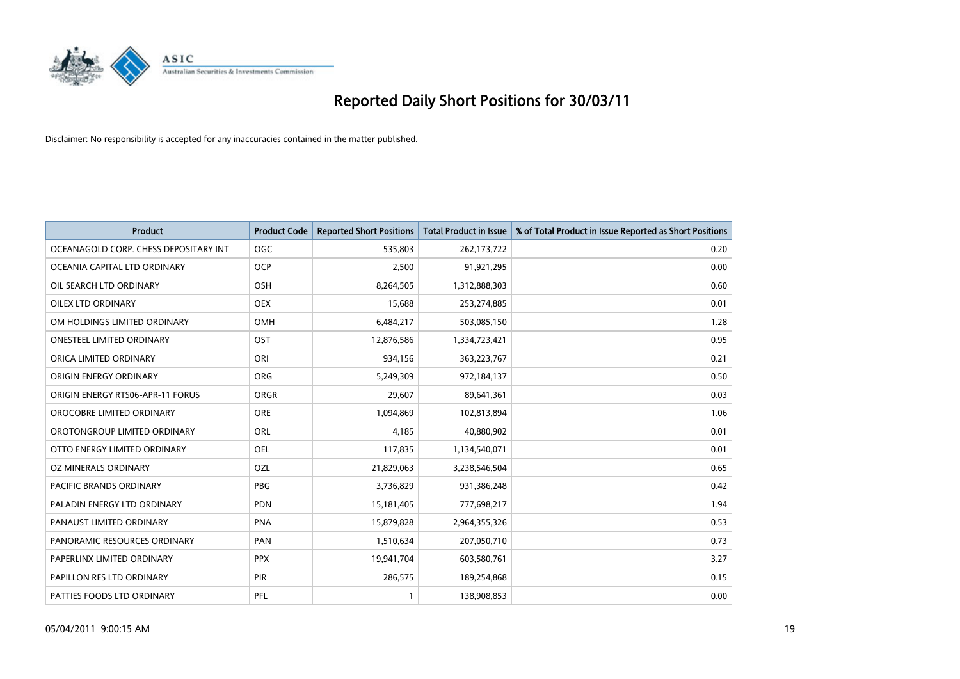

| <b>Product</b>                        | <b>Product Code</b> | <b>Reported Short Positions</b> | <b>Total Product in Issue</b> | % of Total Product in Issue Reported as Short Positions |
|---------------------------------------|---------------------|---------------------------------|-------------------------------|---------------------------------------------------------|
| OCEANAGOLD CORP. CHESS DEPOSITARY INT | <b>OGC</b>          | 535,803                         | 262,173,722                   | 0.20                                                    |
| OCEANIA CAPITAL LTD ORDINARY          | <b>OCP</b>          | 2,500                           | 91,921,295                    | 0.00                                                    |
| OIL SEARCH LTD ORDINARY               | OSH                 | 8,264,505                       | 1,312,888,303                 | 0.60                                                    |
| OILEX LTD ORDINARY                    | <b>OEX</b>          | 15,688                          | 253,274,885                   | 0.01                                                    |
| OM HOLDINGS LIMITED ORDINARY          | OMH                 | 6,484,217                       | 503,085,150                   | 1.28                                                    |
| <b>ONESTEEL LIMITED ORDINARY</b>      | OST                 | 12,876,586                      | 1,334,723,421                 | 0.95                                                    |
| ORICA LIMITED ORDINARY                | ORI                 | 934,156                         | 363,223,767                   | 0.21                                                    |
| ORIGIN ENERGY ORDINARY                | <b>ORG</b>          | 5,249,309                       | 972,184,137                   | 0.50                                                    |
| ORIGIN ENERGY RTS06-APR-11 FORUS      | <b>ORGR</b>         | 29,607                          | 89,641,361                    | 0.03                                                    |
| OROCOBRE LIMITED ORDINARY             | <b>ORE</b>          | 1,094,869                       | 102,813,894                   | 1.06                                                    |
| OROTONGROUP LIMITED ORDINARY          | <b>ORL</b>          | 4,185                           | 40,880,902                    | 0.01                                                    |
| OTTO ENERGY LIMITED ORDINARY          | <b>OEL</b>          | 117,835                         | 1,134,540,071                 | 0.01                                                    |
| OZ MINERALS ORDINARY                  | OZL                 | 21,829,063                      | 3,238,546,504                 | 0.65                                                    |
| <b>PACIFIC BRANDS ORDINARY</b>        | <b>PBG</b>          | 3,736,829                       | 931,386,248                   | 0.42                                                    |
| PALADIN ENERGY LTD ORDINARY           | <b>PDN</b>          | 15,181,405                      | 777,698,217                   | 1.94                                                    |
| PANAUST LIMITED ORDINARY              | PNA                 | 15,879,828                      | 2,964,355,326                 | 0.53                                                    |
| PANORAMIC RESOURCES ORDINARY          | PAN                 | 1,510,634                       | 207,050,710                   | 0.73                                                    |
| PAPERLINX LIMITED ORDINARY            | <b>PPX</b>          | 19,941,704                      | 603,580,761                   | 3.27                                                    |
| PAPILLON RES LTD ORDINARY             | PIR                 | 286,575                         | 189,254,868                   | 0.15                                                    |
| PATTIES FOODS LTD ORDINARY            | PFL                 |                                 | 138,908,853                   | 0.00                                                    |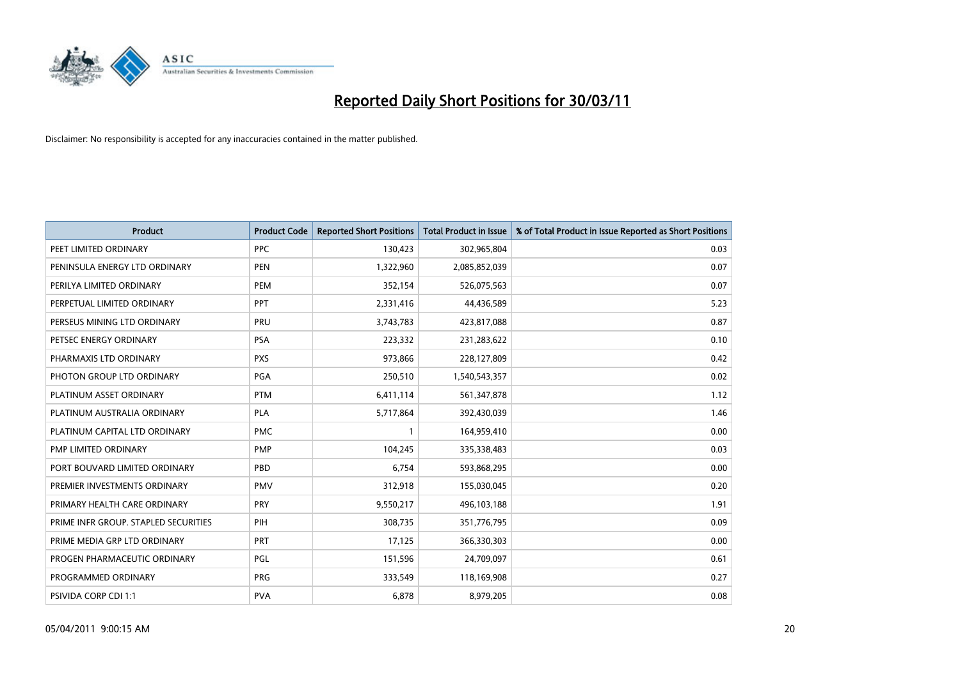

| <b>Product</b>                       | <b>Product Code</b> | <b>Reported Short Positions</b> | <b>Total Product in Issue</b> | % of Total Product in Issue Reported as Short Positions |
|--------------------------------------|---------------------|---------------------------------|-------------------------------|---------------------------------------------------------|
| PEET LIMITED ORDINARY                | <b>PPC</b>          | 130,423                         | 302,965,804                   | 0.03                                                    |
| PENINSULA ENERGY LTD ORDINARY        | <b>PEN</b>          | 1,322,960                       | 2,085,852,039                 | 0.07                                                    |
| PERILYA LIMITED ORDINARY             | PEM                 | 352,154                         | 526,075,563                   | 0.07                                                    |
| PERPETUAL LIMITED ORDINARY           | <b>PPT</b>          | 2,331,416                       | 44,436,589                    | 5.23                                                    |
| PERSEUS MINING LTD ORDINARY          | PRU                 | 3,743,783                       | 423,817,088                   | 0.87                                                    |
| PETSEC ENERGY ORDINARY               | <b>PSA</b>          | 223,332                         | 231,283,622                   | 0.10                                                    |
| PHARMAXIS LTD ORDINARY               | <b>PXS</b>          | 973,866                         | 228,127,809                   | 0.42                                                    |
| PHOTON GROUP LTD ORDINARY            | PGA                 | 250,510                         | 1,540,543,357                 | 0.02                                                    |
| PLATINUM ASSET ORDINARY              | <b>PTM</b>          | 6,411,114                       | 561,347,878                   | 1.12                                                    |
| PLATINUM AUSTRALIA ORDINARY          | <b>PLA</b>          | 5,717,864                       | 392,430,039                   | 1.46                                                    |
| PLATINUM CAPITAL LTD ORDINARY        | <b>PMC</b>          |                                 | 164,959,410                   | 0.00                                                    |
| PMP LIMITED ORDINARY                 | <b>PMP</b>          | 104,245                         | 335,338,483                   | 0.03                                                    |
| PORT BOUVARD LIMITED ORDINARY        | PBD                 | 6,754                           | 593,868,295                   | 0.00                                                    |
| PREMIER INVESTMENTS ORDINARY         | <b>PMV</b>          | 312,918                         | 155,030,045                   | 0.20                                                    |
| PRIMARY HEALTH CARE ORDINARY         | <b>PRY</b>          | 9,550,217                       | 496,103,188                   | 1.91                                                    |
| PRIME INFR GROUP. STAPLED SECURITIES | PIH                 | 308,735                         | 351,776,795                   | 0.09                                                    |
| PRIME MEDIA GRP LTD ORDINARY         | <b>PRT</b>          | 17,125                          | 366,330,303                   | 0.00                                                    |
| PROGEN PHARMACEUTIC ORDINARY         | PGL                 | 151,596                         | 24,709,097                    | 0.61                                                    |
| PROGRAMMED ORDINARY                  | <b>PRG</b>          | 333,549                         | 118,169,908                   | 0.27                                                    |
| <b>PSIVIDA CORP CDI 1:1</b>          | <b>PVA</b>          | 6,878                           | 8,979,205                     | 0.08                                                    |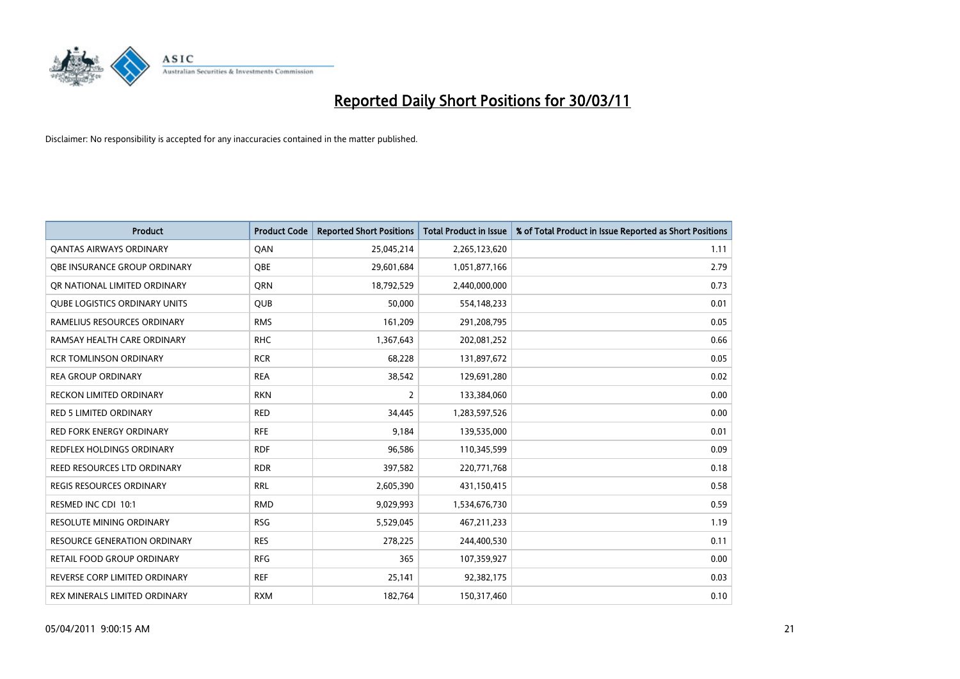

| <b>Product</b>                       | <b>Product Code</b> | <b>Reported Short Positions</b> | Total Product in Issue | % of Total Product in Issue Reported as Short Positions |
|--------------------------------------|---------------------|---------------------------------|------------------------|---------------------------------------------------------|
| <b>QANTAS AIRWAYS ORDINARY</b>       | QAN                 | 25,045,214                      | 2,265,123,620          | 1.11                                                    |
| <b>QBE INSURANCE GROUP ORDINARY</b>  | <b>OBE</b>          | 29,601,684                      | 1,051,877,166          | 2.79                                                    |
| OR NATIONAL LIMITED ORDINARY         | <b>ORN</b>          | 18,792,529                      | 2,440,000,000          | 0.73                                                    |
| <b>QUBE LOGISTICS ORDINARY UNITS</b> | <b>QUB</b>          | 50,000                          | 554,148,233            | 0.01                                                    |
| RAMELIUS RESOURCES ORDINARY          | <b>RMS</b>          | 161,209                         | 291,208,795            | 0.05                                                    |
| RAMSAY HEALTH CARE ORDINARY          | <b>RHC</b>          | 1,367,643                       | 202,081,252            | 0.66                                                    |
| <b>RCR TOMLINSON ORDINARY</b>        | <b>RCR</b>          | 68,228                          | 131,897,672            | 0.05                                                    |
| <b>REA GROUP ORDINARY</b>            | <b>REA</b>          | 38,542                          | 129,691,280            | 0.02                                                    |
| RECKON LIMITED ORDINARY              | <b>RKN</b>          | 2                               | 133,384,060            | 0.00                                                    |
| <b>RED 5 LIMITED ORDINARY</b>        | <b>RED</b>          | 34,445                          | 1,283,597,526          | 0.00                                                    |
| <b>RED FORK ENERGY ORDINARY</b>      | <b>RFE</b>          | 9,184                           | 139,535,000            | 0.01                                                    |
| REDFLEX HOLDINGS ORDINARY            | <b>RDF</b>          | 96,586                          | 110,345,599            | 0.09                                                    |
| REED RESOURCES LTD ORDINARY          | <b>RDR</b>          | 397,582                         | 220,771,768            | 0.18                                                    |
| <b>REGIS RESOURCES ORDINARY</b>      | <b>RRL</b>          | 2,605,390                       | 431,150,415            | 0.58                                                    |
| RESMED INC CDI 10:1                  | <b>RMD</b>          | 9,029,993                       | 1,534,676,730          | 0.59                                                    |
| <b>RESOLUTE MINING ORDINARY</b>      | <b>RSG</b>          | 5,529,045                       | 467,211,233            | 1.19                                                    |
| <b>RESOURCE GENERATION ORDINARY</b>  | <b>RES</b>          | 278,225                         | 244,400,530            | 0.11                                                    |
| RETAIL FOOD GROUP ORDINARY           | <b>RFG</b>          | 365                             | 107,359,927            | 0.00                                                    |
| REVERSE CORP LIMITED ORDINARY        | <b>REF</b>          | 25,141                          | 92,382,175             | 0.03                                                    |
| REX MINERALS LIMITED ORDINARY        | <b>RXM</b>          | 182,764                         | 150,317,460            | 0.10                                                    |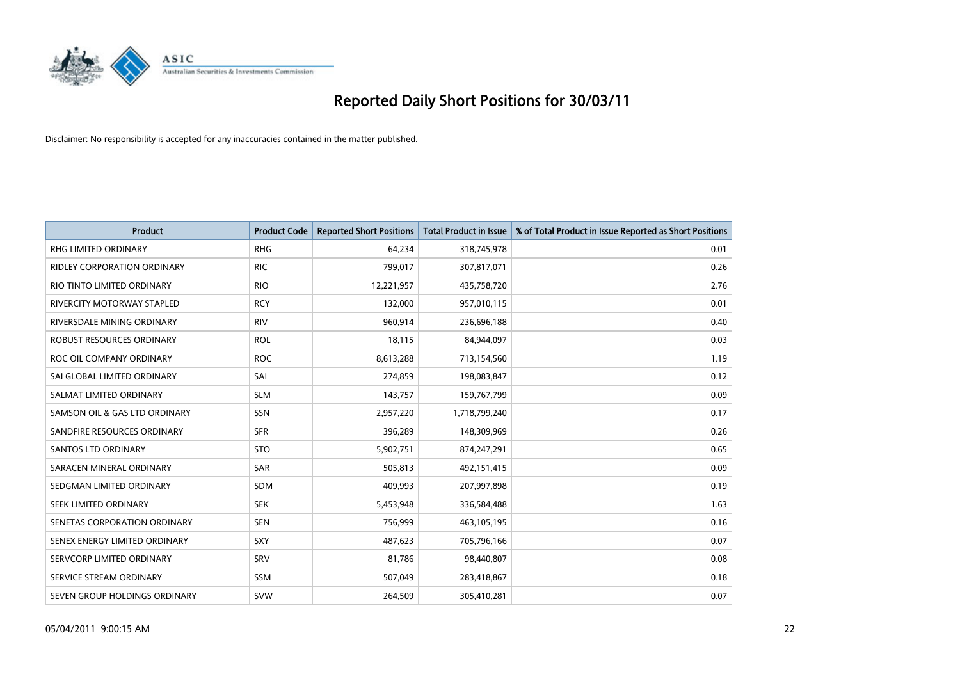

| <b>Product</b>                | <b>Product Code</b> | <b>Reported Short Positions</b> | <b>Total Product in Issue</b> | % of Total Product in Issue Reported as Short Positions |
|-------------------------------|---------------------|---------------------------------|-------------------------------|---------------------------------------------------------|
| <b>RHG LIMITED ORDINARY</b>   | <b>RHG</b>          | 64,234                          | 318,745,978                   | 0.01                                                    |
| RIDLEY CORPORATION ORDINARY   | <b>RIC</b>          | 799,017                         | 307,817,071                   | 0.26                                                    |
| RIO TINTO LIMITED ORDINARY    | <b>RIO</b>          | 12,221,957                      | 435,758,720                   | 2.76                                                    |
| RIVERCITY MOTORWAY STAPLED    | <b>RCY</b>          | 132,000                         | 957,010,115                   | 0.01                                                    |
| RIVERSDALE MINING ORDINARY    | <b>RIV</b>          | 960,914                         | 236,696,188                   | 0.40                                                    |
| ROBUST RESOURCES ORDINARY     | <b>ROL</b>          | 18,115                          | 84,944,097                    | 0.03                                                    |
| ROC OIL COMPANY ORDINARY      | <b>ROC</b>          | 8,613,288                       | 713,154,560                   | 1.19                                                    |
| SAI GLOBAL LIMITED ORDINARY   | SAI                 | 274,859                         | 198,083,847                   | 0.12                                                    |
| SALMAT LIMITED ORDINARY       | <b>SLM</b>          | 143,757                         | 159,767,799                   | 0.09                                                    |
| SAMSON OIL & GAS LTD ORDINARY | SSN                 | 2,957,220                       | 1,718,799,240                 | 0.17                                                    |
| SANDFIRE RESOURCES ORDINARY   | <b>SFR</b>          | 396,289                         | 148,309,969                   | 0.26                                                    |
| <b>SANTOS LTD ORDINARY</b>    | <b>STO</b>          | 5,902,751                       | 874,247,291                   | 0.65                                                    |
| SARACEN MINERAL ORDINARY      | SAR                 | 505,813                         | 492,151,415                   | 0.09                                                    |
| SEDGMAN LIMITED ORDINARY      | <b>SDM</b>          | 409,993                         | 207,997,898                   | 0.19                                                    |
| SEEK LIMITED ORDINARY         | <b>SEK</b>          | 5,453,948                       | 336,584,488                   | 1.63                                                    |
| SENETAS CORPORATION ORDINARY  | <b>SEN</b>          | 756,999                         | 463,105,195                   | 0.16                                                    |
| SENEX ENERGY LIMITED ORDINARY | SXY                 | 487,623                         | 705,796,166                   | 0.07                                                    |
| SERVCORP LIMITED ORDINARY     | SRV                 | 81,786                          | 98,440,807                    | 0.08                                                    |
| SERVICE STREAM ORDINARY       | <b>SSM</b>          | 507,049                         | 283,418,867                   | 0.18                                                    |
| SEVEN GROUP HOLDINGS ORDINARY | <b>SVW</b>          | 264.509                         | 305,410,281                   | 0.07                                                    |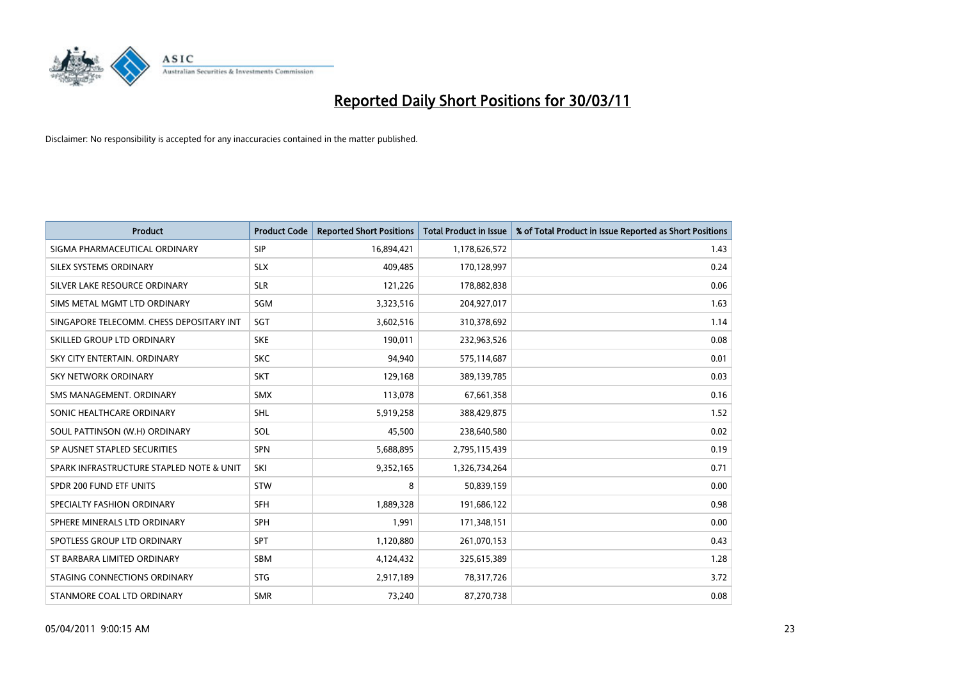

| <b>Product</b>                           | <b>Product Code</b> | <b>Reported Short Positions</b> | Total Product in Issue | % of Total Product in Issue Reported as Short Positions |
|------------------------------------------|---------------------|---------------------------------|------------------------|---------------------------------------------------------|
| SIGMA PHARMACEUTICAL ORDINARY            | <b>SIP</b>          | 16,894,421                      | 1,178,626,572          | 1.43                                                    |
| SILEX SYSTEMS ORDINARY                   | <b>SLX</b>          | 409,485                         | 170,128,997            | 0.24                                                    |
| SILVER LAKE RESOURCE ORDINARY            | <b>SLR</b>          | 121,226                         | 178,882,838            | 0.06                                                    |
| SIMS METAL MGMT LTD ORDINARY             | SGM                 | 3,323,516                       | 204,927,017            | 1.63                                                    |
| SINGAPORE TELECOMM. CHESS DEPOSITARY INT | SGT                 | 3,602,516                       | 310,378,692            | 1.14                                                    |
| SKILLED GROUP LTD ORDINARY               | <b>SKE</b>          | 190,011                         | 232,963,526            | 0.08                                                    |
| SKY CITY ENTERTAIN, ORDINARY             | <b>SKC</b>          | 94,940                          | 575,114,687            | 0.01                                                    |
| <b>SKY NETWORK ORDINARY</b>              | <b>SKT</b>          | 129,168                         | 389,139,785            | 0.03                                                    |
| SMS MANAGEMENT. ORDINARY                 | <b>SMX</b>          | 113,078                         | 67,661,358             | 0.16                                                    |
| SONIC HEALTHCARE ORDINARY                | <b>SHL</b>          | 5,919,258                       | 388,429,875            | 1.52                                                    |
| SOUL PATTINSON (W.H) ORDINARY            | SOL                 | 45,500                          | 238,640,580            | 0.02                                                    |
| SP AUSNET STAPLED SECURITIES             | <b>SPN</b>          | 5,688,895                       | 2,795,115,439          | 0.19                                                    |
| SPARK INFRASTRUCTURE STAPLED NOTE & UNIT | SKI                 | 9,352,165                       | 1,326,734,264          | 0.71                                                    |
| SPDR 200 FUND ETF UNITS                  | <b>STW</b>          | 8                               | 50,839,159             | 0.00                                                    |
| SPECIALTY FASHION ORDINARY               | <b>SFH</b>          | 1,889,328                       | 191,686,122            | 0.98                                                    |
| SPHERE MINERALS LTD ORDINARY             | <b>SPH</b>          | 1.991                           | 171,348,151            | 0.00                                                    |
| SPOTLESS GROUP LTD ORDINARY              | <b>SPT</b>          | 1,120,880                       | 261,070,153            | 0.43                                                    |
| ST BARBARA LIMITED ORDINARY              | <b>SBM</b>          | 4,124,432                       | 325,615,389            | 1.28                                                    |
| STAGING CONNECTIONS ORDINARY             | <b>STG</b>          | 2,917,189                       | 78,317,726             | 3.72                                                    |
| STANMORE COAL LTD ORDINARY               | <b>SMR</b>          | 73,240                          | 87,270,738             | 0.08                                                    |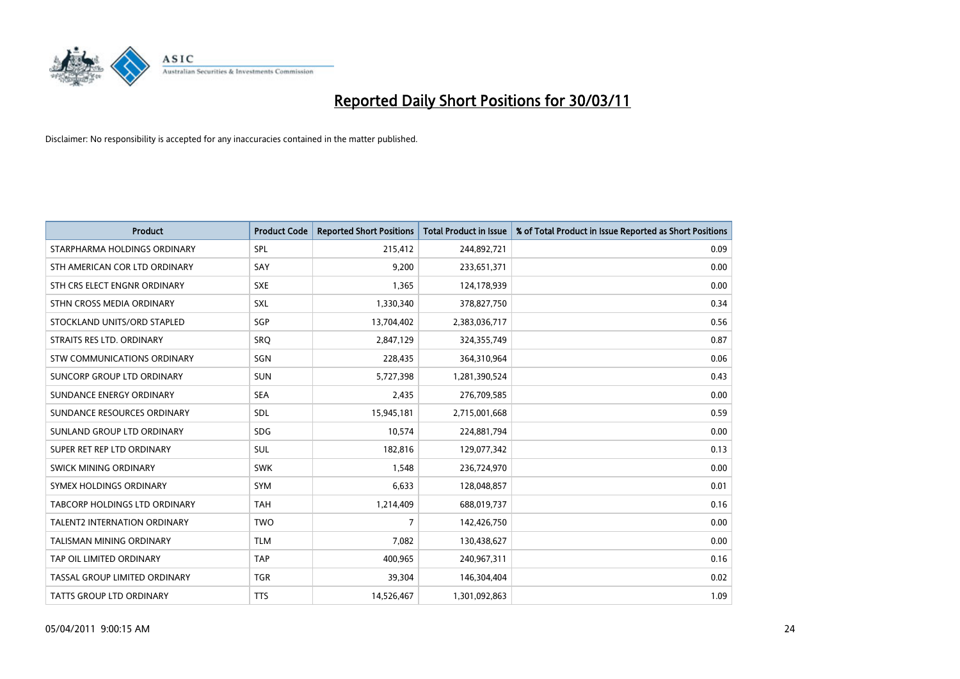

| <b>Product</b>                       | <b>Product Code</b> | <b>Reported Short Positions</b> | Total Product in Issue | % of Total Product in Issue Reported as Short Positions |
|--------------------------------------|---------------------|---------------------------------|------------------------|---------------------------------------------------------|
| STARPHARMA HOLDINGS ORDINARY         | SPL                 | 215,412                         | 244,892,721            | 0.09                                                    |
| STH AMERICAN COR LTD ORDINARY        | SAY                 | 9,200                           | 233,651,371            | 0.00                                                    |
| STH CRS ELECT ENGNR ORDINARY         | <b>SXE</b>          | 1,365                           | 124,178,939            | 0.00                                                    |
| STHN CROSS MEDIA ORDINARY            | SXL                 | 1,330,340                       | 378,827,750            | 0.34                                                    |
| STOCKLAND UNITS/ORD STAPLED          | SGP                 | 13,704,402                      | 2,383,036,717          | 0.56                                                    |
| STRAITS RES LTD. ORDINARY            | SRO                 | 2,847,129                       | 324,355,749            | 0.87                                                    |
| STW COMMUNICATIONS ORDINARY          | SGN                 | 228,435                         | 364,310,964            | 0.06                                                    |
| SUNCORP GROUP LTD ORDINARY           | <b>SUN</b>          | 5,727,398                       | 1,281,390,524          | 0.43                                                    |
| SUNDANCE ENERGY ORDINARY             | <b>SEA</b>          | 2,435                           | 276,709,585            | 0.00                                                    |
| SUNDANCE RESOURCES ORDINARY          | SDL                 | 15,945,181                      | 2,715,001,668          | 0.59                                                    |
| SUNLAND GROUP LTD ORDINARY           | SDG.                | 10,574                          | 224,881,794            | 0.00                                                    |
| SUPER RET REP LTD ORDINARY           | SUL                 | 182,816                         | 129,077,342            | 0.13                                                    |
| SWICK MINING ORDINARY                | <b>SWK</b>          | 1,548                           | 236,724,970            | 0.00                                                    |
| SYMEX HOLDINGS ORDINARY              | <b>SYM</b>          | 6,633                           | 128,048,857            | 0.01                                                    |
| <b>TABCORP HOLDINGS LTD ORDINARY</b> | <b>TAH</b>          | 1,214,409                       | 688,019,737            | 0.16                                                    |
| <b>TALENT2 INTERNATION ORDINARY</b>  | <b>TWO</b>          | 7                               | 142,426,750            | 0.00                                                    |
| <b>TALISMAN MINING ORDINARY</b>      | <b>TLM</b>          | 7,082                           | 130,438,627            | 0.00                                                    |
| TAP OIL LIMITED ORDINARY             | <b>TAP</b>          | 400,965                         | 240,967,311            | 0.16                                                    |
| TASSAL GROUP LIMITED ORDINARY        | <b>TGR</b>          | 39,304                          | 146,304,404            | 0.02                                                    |
| TATTS GROUP LTD ORDINARY             | <b>TTS</b>          | 14,526,467                      | 1,301,092,863          | 1.09                                                    |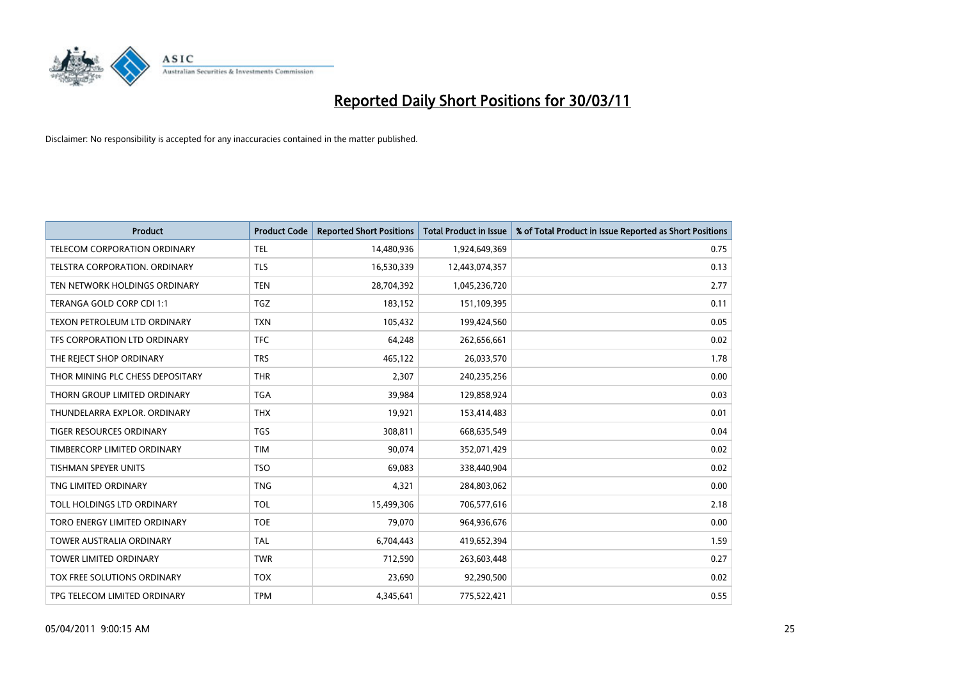

| <b>Product</b>                   | <b>Product Code</b> | <b>Reported Short Positions</b> | <b>Total Product in Issue</b> | % of Total Product in Issue Reported as Short Positions |
|----------------------------------|---------------------|---------------------------------|-------------------------------|---------------------------------------------------------|
| TELECOM CORPORATION ORDINARY     | <b>TEL</b>          | 14,480,936                      | 1,924,649,369                 | 0.75                                                    |
| TELSTRA CORPORATION. ORDINARY    | <b>TLS</b>          | 16,530,339                      | 12,443,074,357                | 0.13                                                    |
| TEN NETWORK HOLDINGS ORDINARY    | <b>TEN</b>          | 28,704,392                      | 1,045,236,720                 | 2.77                                                    |
| TERANGA GOLD CORP CDI 1:1        | <b>TGZ</b>          | 183,152                         | 151,109,395                   | 0.11                                                    |
| TEXON PETROLEUM LTD ORDINARY     | <b>TXN</b>          | 105,432                         | 199,424,560                   | 0.05                                                    |
| TFS CORPORATION LTD ORDINARY     | <b>TFC</b>          | 64.248                          | 262,656,661                   | 0.02                                                    |
| THE REJECT SHOP ORDINARY         | <b>TRS</b>          | 465,122                         | 26,033,570                    | 1.78                                                    |
| THOR MINING PLC CHESS DEPOSITARY | <b>THR</b>          | 2,307                           | 240,235,256                   | 0.00                                                    |
| THORN GROUP LIMITED ORDINARY     | <b>TGA</b>          | 39,984                          | 129,858,924                   | 0.03                                                    |
| THUNDELARRA EXPLOR, ORDINARY     | <b>THX</b>          | 19,921                          | 153,414,483                   | 0.01                                                    |
| TIGER RESOURCES ORDINARY         | <b>TGS</b>          | 308,811                         | 668,635,549                   | 0.04                                                    |
| TIMBERCORP LIMITED ORDINARY      | <b>TIM</b>          | 90,074                          | 352,071,429                   | 0.02                                                    |
| <b>TISHMAN SPEYER UNITS</b>      | <b>TSO</b>          | 69.083                          | 338,440,904                   | 0.02                                                    |
| TNG LIMITED ORDINARY             | <b>TNG</b>          | 4,321                           | 284,803,062                   | 0.00                                                    |
| TOLL HOLDINGS LTD ORDINARY       | <b>TOL</b>          | 15,499,306                      | 706,577,616                   | 2.18                                                    |
| TORO ENERGY LIMITED ORDINARY     | <b>TOE</b>          | 79.070                          | 964,936,676                   | 0.00                                                    |
| <b>TOWER AUSTRALIA ORDINARY</b>  | <b>TAL</b>          | 6,704,443                       | 419,652,394                   | 1.59                                                    |
| TOWER LIMITED ORDINARY           | <b>TWR</b>          | 712,590                         | 263,603,448                   | 0.27                                                    |
| TOX FREE SOLUTIONS ORDINARY      | <b>TOX</b>          | 23,690                          | 92,290,500                    | 0.02                                                    |
| TPG TELECOM LIMITED ORDINARY     | <b>TPM</b>          | 4,345,641                       | 775,522,421                   | 0.55                                                    |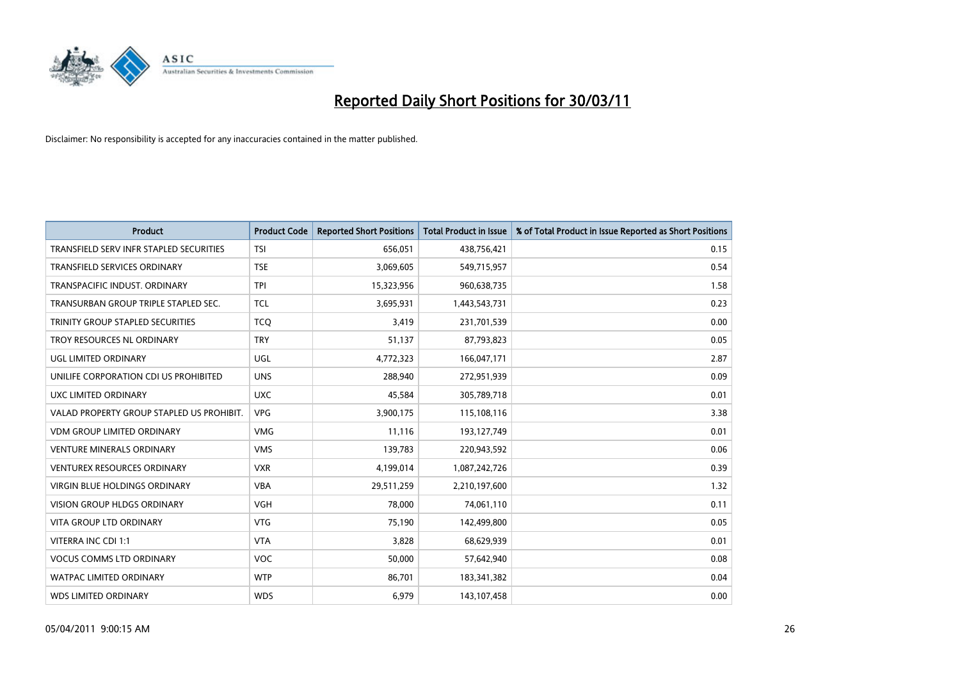

| <b>Product</b>                            | <b>Product Code</b> | <b>Reported Short Positions</b> | <b>Total Product in Issue</b> | % of Total Product in Issue Reported as Short Positions |
|-------------------------------------------|---------------------|---------------------------------|-------------------------------|---------------------------------------------------------|
| TRANSFIELD SERV INFR STAPLED SECURITIES   | <b>TSI</b>          | 656,051                         | 438,756,421                   | 0.15                                                    |
| TRANSFIELD SERVICES ORDINARY              | <b>TSE</b>          | 3,069,605                       | 549,715,957                   | 0.54                                                    |
| TRANSPACIFIC INDUST, ORDINARY             | <b>TPI</b>          | 15,323,956                      | 960,638,735                   | 1.58                                                    |
| TRANSURBAN GROUP TRIPLE STAPLED SEC.      | <b>TCL</b>          | 3,695,931                       | 1,443,543,731                 | 0.23                                                    |
| TRINITY GROUP STAPLED SECURITIES          | <b>TCO</b>          | 3,419                           | 231,701,539                   | 0.00                                                    |
| TROY RESOURCES NL ORDINARY                | <b>TRY</b>          | 51,137                          | 87,793,823                    | 0.05                                                    |
| UGL LIMITED ORDINARY                      | UGL                 | 4,772,323                       | 166,047,171                   | 2.87                                                    |
| UNILIFE CORPORATION CDI US PROHIBITED     | <b>UNS</b>          | 288,940                         | 272,951,939                   | 0.09                                                    |
| UXC LIMITED ORDINARY                      | <b>UXC</b>          | 45,584                          | 305,789,718                   | 0.01                                                    |
| VALAD PROPERTY GROUP STAPLED US PROHIBIT. | <b>VPG</b>          | 3,900,175                       | 115,108,116                   | 3.38                                                    |
| <b>VDM GROUP LIMITED ORDINARY</b>         | <b>VMG</b>          | 11,116                          | 193,127,749                   | 0.01                                                    |
| <b>VENTURE MINERALS ORDINARY</b>          | <b>VMS</b>          | 139,783                         | 220,943,592                   | 0.06                                                    |
| <b>VENTUREX RESOURCES ORDINARY</b>        | <b>VXR</b>          | 4,199,014                       | 1,087,242,726                 | 0.39                                                    |
| <b>VIRGIN BLUE HOLDINGS ORDINARY</b>      | <b>VBA</b>          | 29,511,259                      | 2,210,197,600                 | 1.32                                                    |
| <b>VISION GROUP HLDGS ORDINARY</b>        | <b>VGH</b>          | 78,000                          | 74,061,110                    | 0.11                                                    |
| <b>VITA GROUP LTD ORDINARY</b>            | <b>VTG</b>          | 75,190                          | 142,499,800                   | 0.05                                                    |
| VITERRA INC CDI 1:1                       | <b>VTA</b>          | 3,828                           | 68,629,939                    | 0.01                                                    |
| <b>VOCUS COMMS LTD ORDINARY</b>           | VOC                 | 50,000                          | 57,642,940                    | 0.08                                                    |
| <b>WATPAC LIMITED ORDINARY</b>            | <b>WTP</b>          | 86,701                          | 183,341,382                   | 0.04                                                    |
| <b>WDS LIMITED ORDINARY</b>               | <b>WDS</b>          | 6,979                           | 143,107,458                   | 0.00                                                    |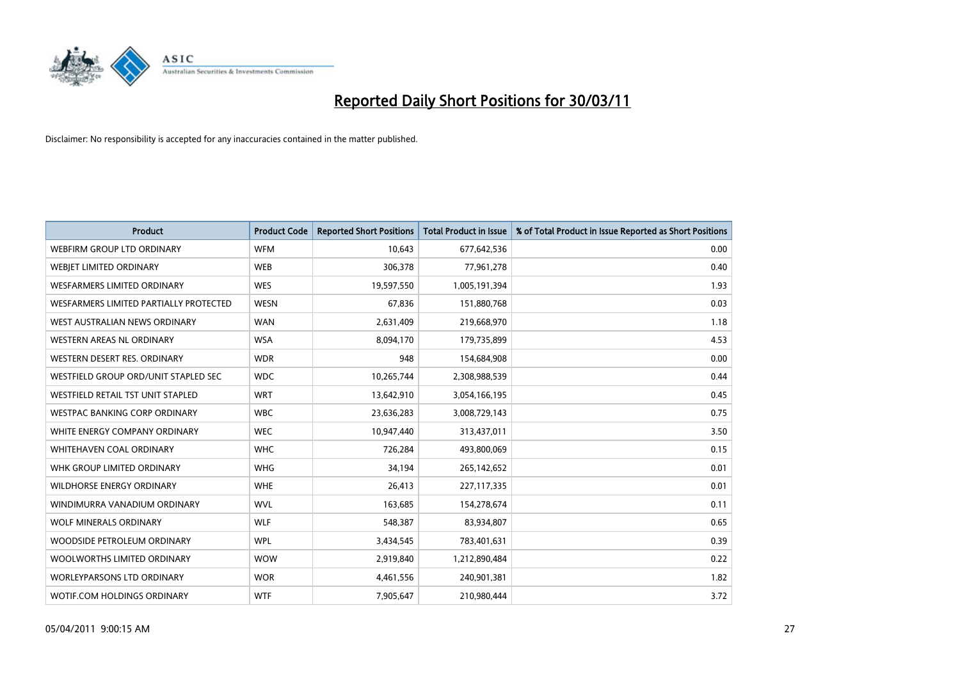

| Product                                | <b>Product Code</b> | <b>Reported Short Positions</b> | <b>Total Product in Issue</b> | % of Total Product in Issue Reported as Short Positions |
|----------------------------------------|---------------------|---------------------------------|-------------------------------|---------------------------------------------------------|
| WEBFIRM GROUP LTD ORDINARY             | <b>WFM</b>          | 10,643                          | 677,642,536                   | 0.00                                                    |
| WEBJET LIMITED ORDINARY                | <b>WEB</b>          | 306,378                         | 77,961,278                    | 0.40                                                    |
| WESFARMERS LIMITED ORDINARY            | <b>WES</b>          | 19,597,550                      | 1,005,191,394                 | 1.93                                                    |
| WESFARMERS LIMITED PARTIALLY PROTECTED | <b>WESN</b>         | 67,836                          | 151,880,768                   | 0.03                                                    |
| WEST AUSTRALIAN NEWS ORDINARY          | <b>WAN</b>          | 2,631,409                       | 219,668,970                   | 1.18                                                    |
| WESTERN AREAS NL ORDINARY              | <b>WSA</b>          | 8,094,170                       | 179,735,899                   | 4.53                                                    |
| WESTERN DESERT RES. ORDINARY           | <b>WDR</b>          | 948                             | 154,684,908                   | 0.00                                                    |
| WESTFIELD GROUP ORD/UNIT STAPLED SEC   | <b>WDC</b>          | 10,265,744                      | 2,308,988,539                 | 0.44                                                    |
| WESTFIELD RETAIL TST UNIT STAPLED      | <b>WRT</b>          | 13,642,910                      | 3,054,166,195                 | 0.45                                                    |
| <b>WESTPAC BANKING CORP ORDINARY</b>   | <b>WBC</b>          | 23,636,283                      | 3,008,729,143                 | 0.75                                                    |
| WHITE ENERGY COMPANY ORDINARY          | <b>WEC</b>          | 10,947,440                      | 313,437,011                   | 3.50                                                    |
| WHITEHAVEN COAL ORDINARY               | <b>WHC</b>          | 726,284                         | 493,800,069                   | 0.15                                                    |
| WHK GROUP LIMITED ORDINARY             | <b>WHG</b>          | 34,194                          | 265,142,652                   | 0.01                                                    |
| <b>WILDHORSE ENERGY ORDINARY</b>       | <b>WHE</b>          | 26,413                          | 227,117,335                   | 0.01                                                    |
| WINDIMURRA VANADIUM ORDINARY           | <b>WVL</b>          | 163,685                         | 154,278,674                   | 0.11                                                    |
| <b>WOLF MINERALS ORDINARY</b>          | <b>WLF</b>          | 548,387                         | 83,934,807                    | 0.65                                                    |
| WOODSIDE PETROLEUM ORDINARY            | <b>WPL</b>          | 3,434,545                       | 783,401,631                   | 0.39                                                    |
| WOOLWORTHS LIMITED ORDINARY            | <b>WOW</b>          | 2,919,840                       | 1,212,890,484                 | 0.22                                                    |
| WORLEYPARSONS LTD ORDINARY             | <b>WOR</b>          | 4,461,556                       | 240,901,381                   | 1.82                                                    |
| WOTIF.COM HOLDINGS ORDINARY            | <b>WTF</b>          | 7,905,647                       | 210,980,444                   | 3.72                                                    |